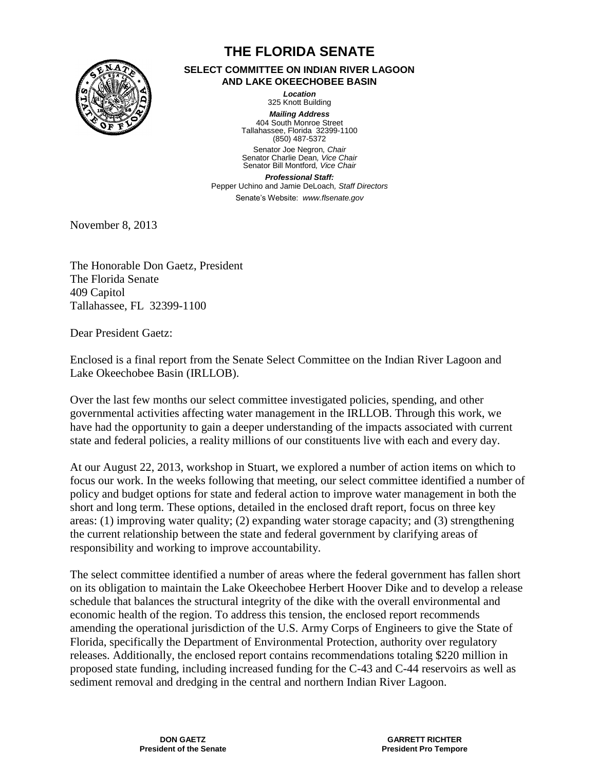

# **THE FLORIDA SENATE**

#### **SELECT COMMITTEE ON INDIAN RIVER LAGOON AND LAKE OKEECHOBEE BASIN**

*Location* 325 Knott Building

*Mailing Address* 404 South Monroe Street Tallahassee, Florida 32399-1100 (850) 487-5372 Senator Joe Negron*, Chair* Senator Charlie Dean*, Vice Chair*

Senator Bill Montford*, Vice Chair Professional Staff:*  Pepper Uchino and Jamie DeLoach*, Staff Directors* Senate's Website: *www.flsenate.gov*

November 8, 2013

The Honorable Don Gaetz, President The Florida Senate 409 Capitol Tallahassee, FL 32399-1100

Dear President Gaetz:

Enclosed is a final report from the Senate Select Committee on the Indian River Lagoon and Lake Okeechobee Basin (IRLLOB).

Over the last few months our select committee investigated policies, spending, and other governmental activities affecting water management in the IRLLOB. Through this work, we have had the opportunity to gain a deeper understanding of the impacts associated with current state and federal policies, a reality millions of our constituents live with each and every day.

At our August 22, 2013, workshop in Stuart, we explored a number of action items on which to focus our work. In the weeks following that meeting, our select committee identified a number of policy and budget options for state and federal action to improve water management in both the short and long term. These options, detailed in the enclosed draft report, focus on three key areas: (1) improving water quality; (2) expanding water storage capacity; and (3) strengthening the current relationship between the state and federal government by clarifying areas of responsibility and working to improve accountability.

The select committee identified a number of areas where the federal government has fallen short on its obligation to maintain the Lake Okeechobee Herbert Hoover Dike and to develop a release schedule that balances the structural integrity of the dike with the overall environmental and economic health of the region. To address this tension, the enclosed report recommends amending the operational jurisdiction of the U.S. Army Corps of Engineers to give the State of Florida, specifically the Department of Environmental Protection, authority over regulatory releases. Additionally, the enclosed report contains recommendations totaling \$220 million in proposed state funding, including increased funding for the C-43 and C-44 reservoirs as well as sediment removal and dredging in the central and northern Indian River Lagoon.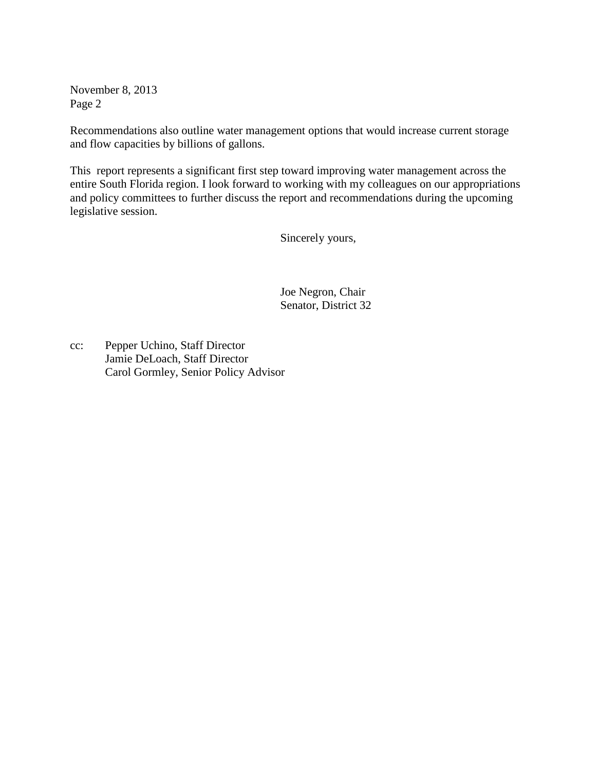November 8, 2013 Page 2

Recommendations also outline water management options that would increase current storage and flow capacities by billions of gallons.

This report represents a significant first step toward improving water management across the entire South Florida region. I look forward to working with my colleagues on our appropriations and policy committees to further discuss the report and recommendations during the upcoming legislative session.

Sincerely yours,

Joe Negron, Chair Senator, District 32

cc: Pepper Uchino, Staff Director Jamie DeLoach, Staff Director Carol Gormley, Senior Policy Advisor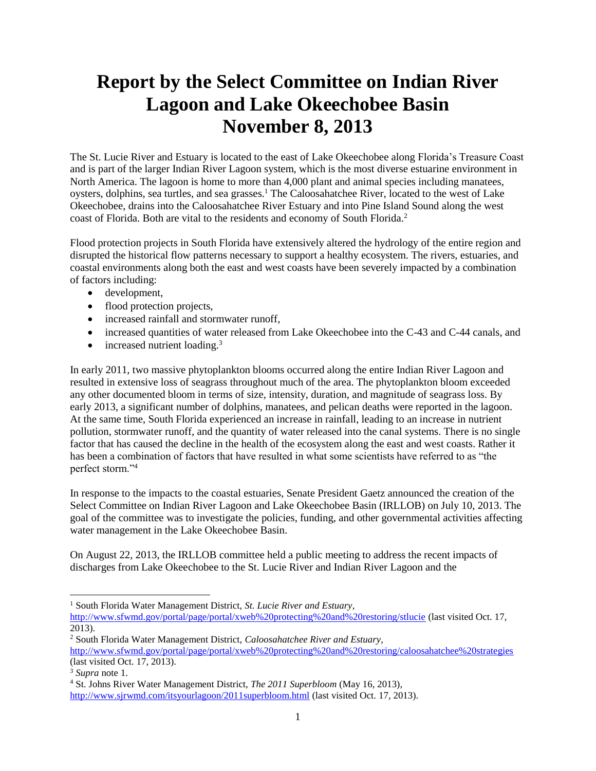# **Report by the Select Committee on Indian River Lagoon and Lake Okeechobee Basin November 8, 2013**

The St. Lucie River and Estuary is located to the east of Lake Okeechobee along Florida's Treasure Coast and is part of the larger Indian River Lagoon system, which is the most diverse estuarine environment in North America. The lagoon is home to more than 4,000 plant and animal species including manatees, oysters, dolphins, sea turtles, and sea grasses.<sup>1</sup> The Caloosahatchee River, located to the west of Lake Okeechobee, drains into the Caloosahatchee River Estuary and into Pine Island Sound along the west coast of Florida. Both are vital to the residents and economy of South Florida.<sup>2</sup>

Flood protection projects in South Florida have extensively altered the hydrology of the entire region and disrupted the historical flow patterns necessary to support a healthy ecosystem. The rivers, estuaries, and coastal environments along both the east and west coasts have been severely impacted by a combination of factors including:

- development,
- flood protection projects,
- increased rainfall and stormwater runoff,
- increased quantities of water released from Lake Okeechobee into the C-43 and C-44 canals, and
- $\bullet$  increased nutrient loading.<sup>3</sup>

In early 2011, two massive phytoplankton blooms occurred along the entire Indian River Lagoon and resulted in extensive loss of seagrass throughout much of the area. The phytoplankton bloom exceeded any other documented bloom in terms of size, intensity, duration, and magnitude of seagrass loss. By early 2013, a significant number of dolphins, manatees, and pelican deaths were reported in the lagoon. At the same time, South Florida experienced an increase in rainfall, leading to an increase in nutrient pollution, stormwater runoff, and the quantity of water released into the canal systems. There is no single factor that has caused the decline in the health of the ecosystem along the east and west coasts. Rather it has been a combination of factors that have resulted in what some scientists have referred to as "the perfect storm."<sup>4</sup>

In response to the impacts to the coastal estuaries, Senate President Gaetz announced the creation of the Select Committee on Indian River Lagoon and Lake Okeechobee Basin (IRLLOB) on July 10, 2013. The goal of the committee was to investigate the policies, funding, and other governmental activities affecting water management in the Lake Okeechobee Basin.

On August 22, 2013, the IRLLOB committee held a public meeting to address the recent impacts of discharges from Lake Okeechobee to the St. Lucie River and Indian River Lagoon and the

 $\overline{\phantom{a}}$ <sup>1</sup> South Florida Water Management District, *St. Lucie River and Estuary*, <http://www.sfwmd.gov/portal/page/portal/xweb%20protecting%20and%20restoring/stlucie> (last visited Oct. 17, 2013).

<sup>2</sup> South Florida Water Management District, *Caloosahatchee River and Estuary*, <http://www.sfwmd.gov/portal/page/portal/xweb%20protecting%20and%20restoring/caloosahatchee%20strategies> (last visited Oct. 17, 2013).

<sup>3</sup> *Supra* note 1.

<sup>4</sup> St. Johns River Water Management District, *The 2011 Superbloom* (May 16, 2013), <http://www.sjrwmd.com/itsyourlagoon/2011superbloom.html> (last visited Oct. 17, 2013).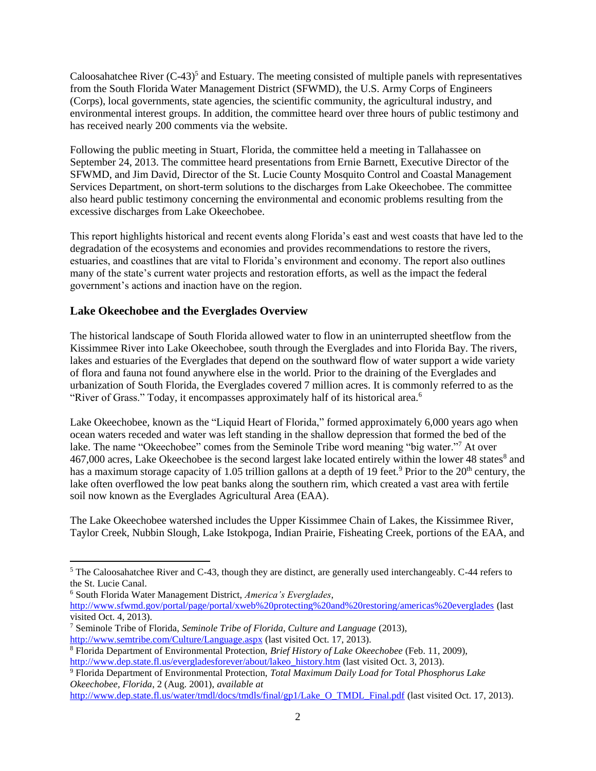Caloosahatchee River  $(C-43)^5$  and Estuary. The meeting consisted of multiple panels with representatives from the South Florida Water Management District (SFWMD), the U.S. Army Corps of Engineers (Corps), local governments, state agencies, the scientific community, the agricultural industry, and environmental interest groups. In addition, the committee heard over three hours of public testimony and has received nearly 200 comments via the website.

Following the public meeting in Stuart, Florida, the committee held a meeting in Tallahassee on September 24, 2013. The committee heard presentations from Ernie Barnett, Executive Director of the SFWMD, and Jim David, Director of the St. Lucie County Mosquito Control and Coastal Management Services Department, on short-term solutions to the discharges from Lake Okeechobee. The committee also heard public testimony concerning the environmental and economic problems resulting from the excessive discharges from Lake Okeechobee.

This report highlights historical and recent events along Florida's east and west coasts that have led to the degradation of the ecosystems and economies and provides recommendations to restore the rivers, estuaries, and coastlines that are vital to Florida's environment and economy. The report also outlines many of the state's current water projects and restoration efforts, as well as the impact the federal government's actions and inaction have on the region.

# **Lake Okeechobee and the Everglades Overview**

The historical landscape of South Florida allowed water to flow in an uninterrupted sheetflow from the Kissimmee River into Lake Okeechobee, south through the Everglades and into Florida Bay. The rivers, lakes and estuaries of the Everglades that depend on the southward flow of water support a wide variety of flora and fauna not found anywhere else in the world. Prior to the draining of the Everglades and urbanization of South Florida, the Everglades covered 7 million acres. It is commonly referred to as the "River of Grass." Today, it encompasses approximately half of its historical area.<sup>6</sup>

Lake Okeechobee, known as the "Liquid Heart of Florida," formed approximately 6,000 years ago when ocean waters receded and water was left standing in the shallow depression that formed the bed of the lake. The name "Okeechobee" comes from the Seminole Tribe word meaning "big water."<sup>7</sup> At over 467,000 acres, Lake Okeechobee is the second largest lake located entirely within the lower 48 states<sup>8</sup> and has a maximum storage capacity of 1.05 trillion gallons at a depth of 19 feet.<sup>9</sup> Prior to the 20<sup>th</sup> century, the lake often overflowed the low peat banks along the southern rim, which created a vast area with fertile soil now known as the Everglades Agricultural Area (EAA).

The Lake Okeechobee watershed includes the Upper Kissimmee Chain of Lakes, the Kissimmee River, Taylor Creek, Nubbin Slough, Lake Istokpoga, Indian Prairie, Fisheating Creek, portions of the EAA, and

<sup>6</sup> South Florida Water Management District, *America's Everglades*,

 $\overline{a}$ 

<sup>5</sup> The Caloosahatchee River and C-43, though they are distinct, are generally used interchangeably. C-44 refers to the St. Lucie Canal.

<http://www.sfwmd.gov/portal/page/portal/xweb%20protecting%20and%20restoring/americas%20everglades> (last visited Oct. 4, 2013).

<sup>7</sup> Seminole Tribe of Florida, *Seminole Tribe of Florida, Culture and Language* (2013),

<http://www.semtribe.com/Culture/Language.aspx> (last visited Oct. 17, 2013).

<sup>8</sup> Florida Department of Environmental Protection, *Brief History of Lake Okeechobee* (Feb. 11, 2009), [http://www.dep.state.fl.us/evergladesforever/about/lakeo\\_history.htm](http://www.dep.state.fl.us/evergladesforever/about/lakeo_history.htm) (last visited Oct. 3, 2013).

<sup>9</sup> Florida Department of Environmental Protection, *Total Maximum Daily Load for Total Phosphorus Lake Okeechobee, Florida*, 2 (Aug. 2001), *available at*

[http://www.dep.state.fl.us/water/tmdl/docs/tmdls/final/gp1/Lake\\_O\\_TMDL\\_Final.pdf](http://www.dep.state.fl.us/water/tmdl/docs/tmdls/final/gp1/Lake_O_TMDL_Final.pdf) (last visited Oct. 17, 2013).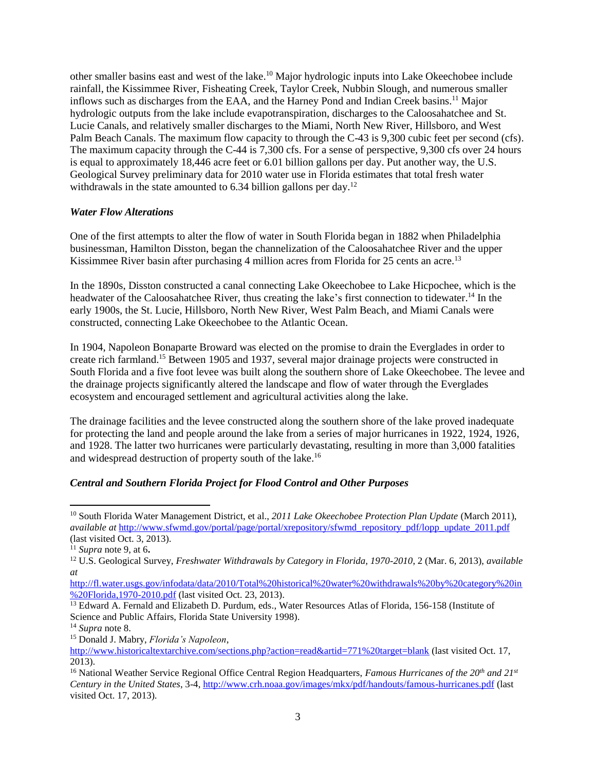other smaller basins east and west of the lake. <sup>10</sup> Major hydrologic inputs into Lake Okeechobee include rainfall, the Kissimmee River, Fisheating Creek, Taylor Creek, Nubbin Slough, and numerous smaller inflows such as discharges from the EAA, and the Harney Pond and Indian Creek basins.<sup>11</sup> Major hydrologic outputs from the lake include evapotranspiration, discharges to the Caloosahatchee and St. Lucie Canals, and relatively smaller discharges to the Miami, North New River, Hillsboro, and West Palm Beach Canals. The maximum flow capacity to through the C-43 is 9,300 cubic feet per second (cfs). The maximum capacity through the C-44 is 7,300 cfs. For a sense of perspective, 9,300 cfs over 24 hours is equal to approximately 18,446 acre feet or 6.01 billion gallons per day. Put another way, the U.S. Geological Survey preliminary data for 2010 water use in Florida estimates that total fresh water withdrawals in the state amounted to 6.34 billion gallons per day.<sup>12</sup>

#### *Water Flow Alterations*

One of the first attempts to alter the flow of water in South Florida began in 1882 when Philadelphia businessman, Hamilton Disston, began the channelization of the Caloosahatchee River and the upper Kissimmee River basin after purchasing 4 million acres from Florida for 25 cents an acre.<sup>13</sup>

In the 1890s, Disston constructed a canal connecting Lake Okeechobee to Lake Hicpochee, which is the headwater of the Caloosahatchee River, thus creating the lake's first connection to tidewater.<sup>14</sup> In the early 1900s, the St. Lucie, Hillsboro, North New River, West Palm Beach, and Miami Canals were constructed, connecting Lake Okeechobee to the Atlantic Ocean.

In 1904, Napoleon Bonaparte Broward was elected on the promise to drain the Everglades in order to create rich farmland. <sup>15</sup> Between 1905 and 1937, several major drainage projects were constructed in South Florida and a five foot levee was built along the southern shore of Lake Okeechobee. The levee and the drainage projects significantly altered the landscape and flow of water through the Everglades ecosystem and encouraged settlement and agricultural activities along the lake.

The drainage facilities and the levee constructed along the southern shore of the lake proved inadequate for protecting the land and people around the lake from a series of major hurricanes in 1922, 1924, 1926, and 1928. The latter two hurricanes were particularly devastating, resulting in more than 3,000 fatalities and widespread destruction of property south of the lake.<sup>16</sup>

# *Central and Southern Florida Project for Flood Control and Other Purposes*

<sup>10</sup> South Florida Water Management District, et al., *2011 Lake Okeechobee Protection Plan Update* (March 2011), *available at* [http://www.sfwmd.gov/portal/page/portal/xrepository/sfwmd\\_repository\\_pdf/lopp\\_update\\_2011.pdf](http://www.sfwmd.gov/portal/page/portal/xrepository/sfwmd_repository_pdf/lopp_update_2011.pdf) (last visited Oct. 3, 2013).

<sup>11</sup> *Supra* note 9, at 6**.** 

<sup>12</sup> U.S. Geological Survey, *Freshwater Withdrawals by Category in Florida, 1970-2010*, 2 (Mar. 6, 2013), *available at*

[http://fl.water.usgs.gov/infodata/data/2010/Total%20historical%20water%20withdrawals%20by%20category%20in](http://fl.water.usgs.gov/infodata/data/2010/Total%20historical%20water%20withdrawals%20by%20category%20in%20Florida,1970-2010.pdf) [%20Florida,1970-2010.pdf](http://fl.water.usgs.gov/infodata/data/2010/Total%20historical%20water%20withdrawals%20by%20category%20in%20Florida,1970-2010.pdf) (last visited Oct. 23, 2013).

<sup>&</sup>lt;sup>13</sup> Edward A. Fernald and Elizabeth D. Purdum, eds., Water Resources Atlas of Florida, 156-158 (Institute of Science and Public Affairs, Florida State University 1998).

<sup>14</sup> *Supra* note 8.

<sup>15</sup> Donald J. Mabry, *Florida's Napoleon*,

<http://www.historicaltextarchive.com/sections.php?action=read&artid=771%20target=blank> (last visited Oct. 17, 2013).

<sup>16</sup> National Weather Service Regional Office Central Region Headquarters, *Famous Hurricanes of the 20th and 21st Century in the United States*, 3-4[, http://www.crh.noaa.gov/images/mkx/pdf/handouts/famous-hurricanes.pdf](http://www.crh.noaa.gov/images/mkx/pdf/handouts/famous-hurricanes.pdf) (last visited Oct. 17, 2013).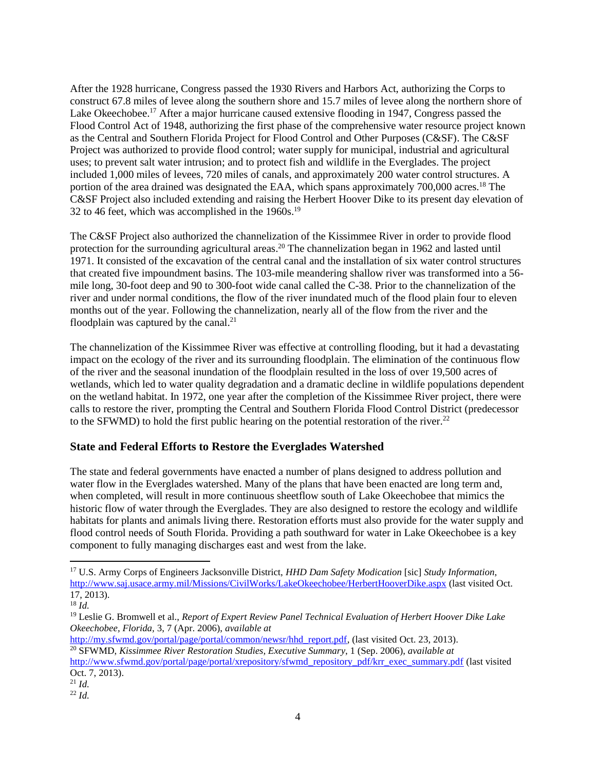After the 1928 hurricane, Congress passed the 1930 Rivers and Harbors Act, authorizing the Corps to construct 67.8 miles of levee along the southern shore and 15.7 miles of levee along the northern shore of Lake Okeechobee.<sup>17</sup> After a major hurricane caused extensive flooding in 1947, Congress passed the Flood Control Act of 1948, authorizing the first phase of the comprehensive water resource project known as the Central and Southern Florida Project for Flood Control and Other Purposes (C&SF). The C&SF Project was authorized to provide flood control; water supply for municipal, industrial and agricultural uses; to prevent salt water intrusion; and to protect fish and wildlife in the Everglades. The project included 1,000 miles of levees, 720 miles of canals, and approximately 200 water control structures. A portion of the area drained was designated the EAA, which spans approximately 700,000 acres.<sup>18</sup> The C&SF Project also included extending and raising the Herbert Hoover Dike to its present day elevation of 32 to 46 feet, which was accomplished in the  $1960s$ <sup>19</sup>

The C&SF Project also authorized the channelization of the Kissimmee River in order to provide flood protection for the surrounding agricultural areas.<sup>20</sup> The channelization began in 1962 and lasted until 1971. It consisted of the excavation of the central canal and the installation of six water control structures that created five impoundment basins. The 103-mile meandering shallow river was transformed into a 56 mile long, 30-foot deep and 90 to 300-foot wide canal called the C-38. Prior to the channelization of the river and under normal conditions, the flow of the river inundated much of the flood plain four to eleven months out of the year. Following the channelization, nearly all of the flow from the river and the floodplain was captured by the canal.<sup>21</sup>

The channelization of the Kissimmee River was effective at controlling flooding, but it had a devastating impact on the ecology of the river and its surrounding floodplain. The elimination of the continuous flow of the river and the seasonal inundation of the floodplain resulted in the loss of over 19,500 acres of wetlands, which led to water quality degradation and a dramatic decline in wildlife populations dependent on the wetland habitat. In 1972, one year after the completion of the Kissimmee River project, there were calls to restore the river, prompting the Central and Southern Florida Flood Control District (predecessor to the SFWMD) to hold the first public hearing on the potential restoration of the river.<sup>22</sup>

# **State and Federal Efforts to Restore the Everglades Watershed**

The state and federal governments have enacted a number of plans designed to address pollution and water flow in the Everglades watershed. Many of the plans that have been enacted are long term and, when completed, will result in more continuous sheetflow south of Lake Okeechobee that mimics the historic flow of water through the Everglades. They are also designed to restore the ecology and wildlife habitats for plants and animals living there. Restoration efforts must also provide for the water supply and flood control needs of South Florida. Providing a path southward for water in Lake Okeechobee is a key component to fully managing discharges east and west from the lake.

 $\overline{a}$ 

[http://www.sfwmd.gov/portal/page/portal/xrepository/sfwmd\\_repository\\_pdf/krr\\_exec\\_summary.pdf](http://www.sfwmd.gov/portal/page/portal/xrepository/sfwmd_repository_pdf/krr_exec_summary.pdf) (last visited Oct. 7, 2013).

<sup>17</sup> U.S. Army Corps of Engineers Jacksonville District, *HHD Dam Safety Modication* [sic] *Study Information*, <http://www.saj.usace.army.mil/Missions/CivilWorks/LakeOkeechobee/HerbertHooverDike.aspx> (last visited Oct. 17, 2013).

<sup>18</sup> *Id.*

<sup>19</sup> Leslie G. Bromwell et al., *Report of Expert Review Panel Technical Evaluation of Herbert Hoover Dike Lake Okeechobee, Florida,* 3, 7 (Apr. 2006), *available at* 

[http://my.sfwmd.gov/portal/page/portal/common/newsr/hhd\\_report.pdf,](http://my.sfwmd.gov/portal/page/portal/common/newsr/hhd_report.pdf) (last visited Oct. 23, 2013). <sup>20</sup> SFWMD, *Kissimmee River Restoration Studies, Executive Summary*, 1 (Sep. 2006), *available at* 

<sup>21</sup> *Id.*

<sup>22</sup> *Id.*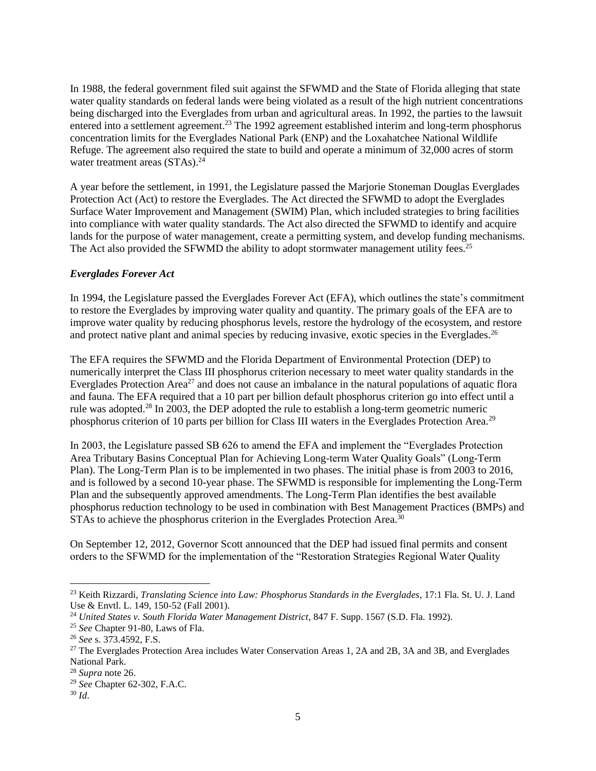In 1988, the federal government filed suit against the SFWMD and the State of Florida alleging that state water quality standards on federal lands were being violated as a result of the high nutrient concentrations being discharged into the Everglades from urban and agricultural areas. In 1992, the parties to the lawsuit entered into a settlement agreement.<sup>23</sup> The 1992 agreement established interim and long-term phosphorus concentration limits for the Everglades National Park (ENP) and the Loxahatchee National Wildlife Refuge. The agreement also required the state to build and operate a minimum of 32,000 acres of storm water treatment areas (STAs).<sup>24</sup>

A year before the settlement, in 1991, the Legislature passed the Marjorie Stoneman Douglas Everglades Protection Act (Act) to restore the Everglades. The Act directed the SFWMD to adopt the Everglades Surface Water Improvement and Management (SWIM) Plan, which included strategies to bring facilities into compliance with water quality standards. The Act also directed the SFWMD to identify and acquire lands for the purpose of water management, create a permitting system, and develop funding mechanisms. The Act also provided the SFWMD the ability to adopt stormwater management utility fees.<sup>25</sup>

### *Everglades Forever Act*

In 1994, the Legislature passed the Everglades Forever Act (EFA), which outlines the state's commitment to restore the Everglades by improving water quality and quantity. The primary goals of the EFA are to improve water quality by reducing phosphorus levels, restore the hydrology of the ecosystem, and restore and protect native plant and animal species by reducing invasive, exotic species in the Everglades.<sup>26</sup>

The EFA requires the SFWMD and the Florida Department of Environmental Protection (DEP) to numerically interpret the Class III phosphorus criterion necessary to meet water quality standards in the Everglades Protection Area<sup>27</sup> and does not cause an imbalance in the natural populations of aquatic flora and fauna. The EFA required that a 10 part per billion default phosphorus criterion go into effect until a rule was adopted.<sup>28</sup> In 2003, the DEP adopted the rule to establish a long-term geometric numeric phosphorus criterion of 10 parts per billion for Class III waters in the Everglades Protection Area.<sup>29</sup>

In 2003, the Legislature passed SB 626 to amend the EFA and implement the "Everglades Protection Area Tributary Basins Conceptual Plan for Achieving Long-term Water Quality Goals" (Long-Term Plan). The Long-Term Plan is to be implemented in two phases. The initial phase is from 2003 to 2016, and is followed by a second 10-year phase. The SFWMD is responsible for implementing the Long-Term Plan and the subsequently approved amendments. The Long-Term Plan identifies the best available phosphorus reduction technology to be used in combination with Best Management Practices (BMPs) and STAs to achieve the phosphorus criterion in the Everglades Protection Area.<sup>30</sup>

On September 12, 2012, Governor Scott announced that the DEP had issued final permits and consent orders to the SFWMD for the implementation of the "Restoration Strategies Regional Water Quality

<sup>23</sup> Keith Rizzardi, *Translating Science into Law: Phosphorus Standards in the Everglades*, 17:1 Fla. St. U. J. Land Use & Envtl. L. 149, 150-52 (Fall 2001).

<sup>&</sup>lt;sup>24</sup> *United States v. South Florida Water Management District*, 847 F. Supp. 1567 (S.D. Fla. 1992).

<sup>25</sup> *See* Chapter 91-80, Laws of Fla.

<sup>26</sup> *See* s. 373.4592, F.S.

<sup>&</sup>lt;sup>27</sup> The Everglades Protection Area includes Water Conservation Areas 1, 2A and 2B, 3A and 3B, and Everglades National Park.

<sup>28</sup> *Supra* note 26.

<sup>29</sup> *See* Chapter 62-302, F.A.C.

<sup>30</sup> *Id*.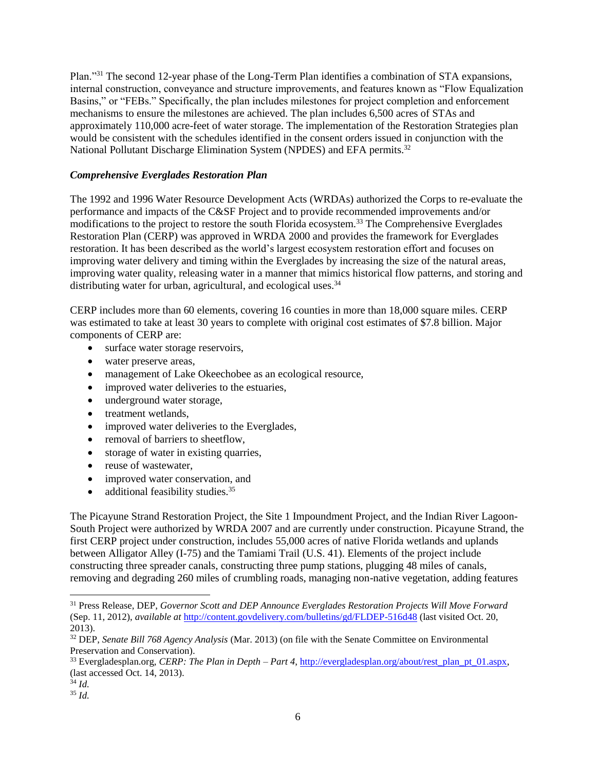Plan."<sup>31</sup> The second 12-year phase of the Long-Term Plan identifies a combination of STA expansions, internal construction, conveyance and structure improvements, and features known as "Flow Equalization Basins," or "FEBs." Specifically, the plan includes milestones for project completion and enforcement mechanisms to ensure the milestones are achieved. The plan includes 6,500 acres of STAs and approximately 110,000 acre-feet of water storage. The implementation of the Restoration Strategies plan would be consistent with the schedules identified in the consent orders issued in conjunction with the National Pollutant Discharge Elimination System (NPDES) and EFA permits.<sup>32</sup>

#### *Comprehensive Everglades Restoration Plan*

The 1992 and 1996 Water Resource Development Acts (WRDAs) authorized the Corps to re-evaluate the performance and impacts of the C&SF Project and to provide recommended improvements and/or modifications to the project to restore the south Florida ecosystem.<sup>33</sup> The Comprehensive Everglades Restoration Plan (CERP) was approved in WRDA 2000 and provides the framework for Everglades restoration. It has been described as the world's largest ecosystem restoration effort and focuses on improving water delivery and timing within the Everglades by increasing the size of the natural areas, improving water quality, releasing water in a manner that mimics historical flow patterns, and storing and distributing water for urban, agricultural, and ecological uses.<sup>34</sup>

CERP includes more than 60 elements, covering 16 counties in more than 18,000 square miles. CERP was estimated to take at least 30 years to complete with original cost estimates of \$7.8 billion. Major components of CERP are:

- surface water storage reservoirs,
- water preserve areas,
- management of Lake Okeechobee as an ecological resource,
- improved water deliveries to the estuaries,
- underground water storage,
- treatment wetlands,
- improved water deliveries to the Everglades,
- removal of barriers to sheetflow,
- storage of water in existing quarries,
- reuse of wastewater,
- improved water conservation, and
- additional feasibility studies.<sup>35</sup>

The Picayune Strand Restoration Project, the Site 1 Impoundment Project, and the Indian River Lagoon-South Project were authorized by WRDA 2007 and are currently under construction. Picayune Strand, the first CERP project under construction, includes 55,000 acres of native Florida wetlands and uplands between Alligator Alley (I-75) and the Tamiami Trail (U.S. 41). Elements of the project include constructing three spreader canals, constructing three pump stations, plugging 48 miles of canals, removing and degrading 260 miles of crumbling roads, managing non-native vegetation, adding features

<sup>34</sup> *Id.*

<sup>31</sup> Press Release, DEP, *Governor Scott and DEP Announce Everglades Restoration Projects Will Move Forward*  (Sep. 11, 2012), *available at* <http://content.govdelivery.com/bulletins/gd/FLDEP-516d48> (last visited Oct. 20, 2013).

<sup>32</sup> DEP, *Senate Bill 768 Agency Analysis* (Mar. 2013) (on file with the Senate Committee on Environmental Preservation and Conservation).

<sup>33</sup> Evergladesplan.org, *CERP: The Plan in Depth – Part 4*, [http://evergladesplan.org/about/rest\\_plan\\_pt\\_01.aspx,](http://evergladesplan.org/about/rest_plan_pt_01.aspx) (last accessed Oct. 14, 2013).

<sup>35</sup> *Id.*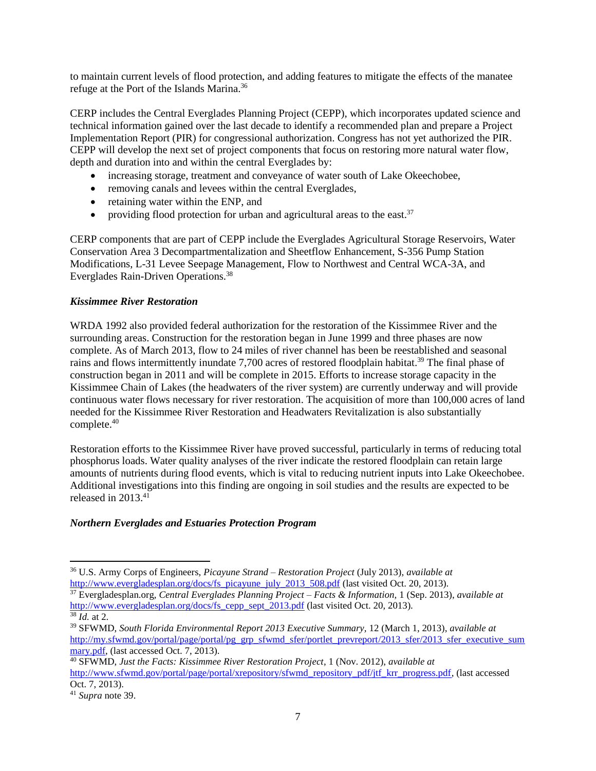to maintain current levels of flood protection, and adding features to mitigate the effects of the manatee refuge at the Port of the Islands Marina.<sup>36</sup>

CERP includes the Central Everglades Planning Project (CEPP), which incorporates updated science and technical information gained over the last decade to identify a recommended plan and prepare a Project Implementation Report (PIR) for congressional authorization. Congress has not yet authorized the PIR. CEPP will develop the next set of project components that focus on restoring more natural water flow, depth and duration into and within the central Everglades by:

- increasing storage, treatment and conveyance of water south of Lake Okeechobee,
- removing canals and levees within the central Everglades,
- retaining water within the ENP, and
- providing flood protection for urban and agricultural areas to the east. $37$

CERP components that are part of CEPP include the Everglades Agricultural Storage Reservoirs, Water Conservation Area 3 Decompartmentalization and Sheetflow Enhancement, S-356 Pump Station Modifications, L-31 Levee Seepage Management, Flow to Northwest and Central WCA-3A, and Everglades Rain-Driven Operations.<sup>38</sup>

# *Kissimmee River Restoration*

WRDA 1992 also provided federal authorization for the restoration of the Kissimmee River and the surrounding areas. Construction for the restoration began in June 1999 and three phases are now complete. As of March 2013, flow to 24 miles of river channel has been be reestablished and seasonal rains and flows intermittently inundate 7,700 acres of restored floodplain habitat.<sup>39</sup> The final phase of construction began in 2011 and will be complete in 2015. Efforts to increase storage capacity in the Kissimmee Chain of Lakes (the headwaters of the river system) are currently underway and will provide continuous water flows necessary for river restoration. The acquisition of more than 100,000 acres of land needed for the Kissimmee River Restoration and Headwaters Revitalization is also substantially complete.<sup>40</sup>

Restoration efforts to the Kissimmee River have proved successful, particularly in terms of reducing total phosphorus loads. Water quality analyses of the river indicate the restored floodplain can retain large amounts of nutrients during flood events, which is vital to reducing nutrient inputs into Lake Okeechobee. Additional investigations into this finding are ongoing in soil studies and the results are expected to be released in 2013.<sup>41</sup>

# *Northern Everglades and Estuaries Protection Program*

<sup>40</sup> SFWMD, *Just the Facts: Kissimmee River Restoration Project*, 1 (Nov. 2012), *available at*  [http://www.sfwmd.gov/portal/page/portal/xrepository/sfwmd\\_repository\\_pdf/jtf\\_krr\\_progress.pdf,](http://www.sfwmd.gov/portal/page/portal/xrepository/sfwmd_repository_pdf/jtf_krr_progress.pdf) (last accessed Oct. 7, 2013).

 $\overline{a}$ <sup>36</sup> U.S. Army Corps of Engineers, *Picayune Strand – Restoration Project* (July 2013), *available at*  [http://www.evergladesplan.org/docs/fs\\_picayune\\_july\\_2013\\_508.pdf](http://www.evergladesplan.org/docs/fs_picayune_july_2013_508.pdf) (last visited Oct. 20, 2013).

<sup>37</sup> Evergladesplan.org, *Central Everglades Planning Project – Facts & Information,* 1 (Sep. 2013), *available at* [http://www.evergladesplan.org/docs/fs\\_cepp\\_sept\\_2013.pdf](http://www.evergladesplan.org/docs/fs_cepp_sept_2013.pdf) (last visited Oct. 20, 2013). <sup>38</sup> *Id.* at 2.

<sup>39</sup> SFWMD, *South Florida Environmental Report 2013 Executive Summary,* 12 (March 1, 2013), *available at* [http://my.sfwmd.gov/portal/page/portal/pg\\_grp\\_sfwmd\\_sfer/portlet\\_prevreport/2013\\_sfer/2013\\_sfer\\_executive\\_sum](http://my.sfwmd.gov/portal/page/portal/pg_grp_sfwmd_sfer/portlet_prevreport/2013_sfer/2013_sfer_executive_summary.pdf) [mary.pdf,](http://my.sfwmd.gov/portal/page/portal/pg_grp_sfwmd_sfer/portlet_prevreport/2013_sfer/2013_sfer_executive_summary.pdf) (last accessed Oct. 7, 2013).

<sup>41</sup> *Supra* note 39.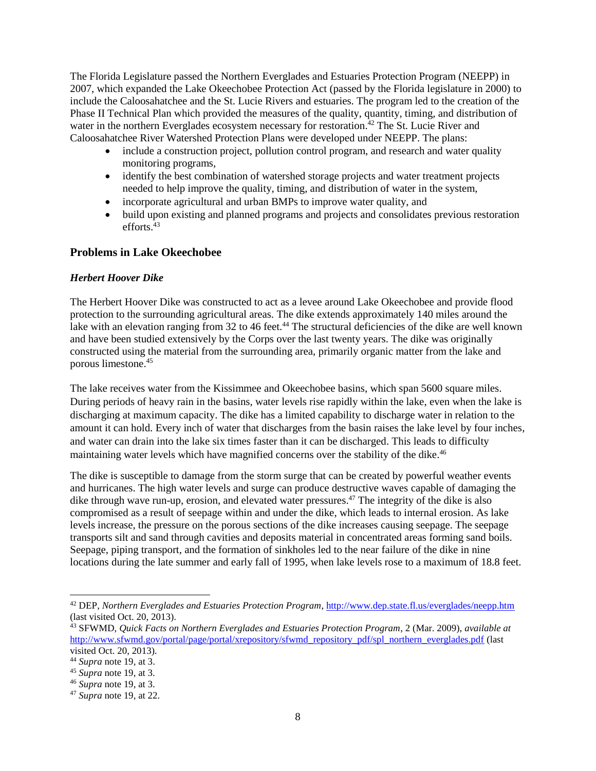The Florida Legislature passed the Northern Everglades and Estuaries Protection Program (NEEPP) in 2007, which expanded the Lake Okeechobee Protection Act (passed by the Florida legislature in 2000) to include the Caloosahatchee and the St. Lucie Rivers and estuaries. The program led to the creation of the Phase II Technical Plan which provided the measures of the quality, quantity, timing, and distribution of water in the northern Everglades ecosystem necessary for restoration.<sup>42</sup> The St. Lucie River and Caloosahatchee River Watershed Protection Plans were developed under NEEPP. The plans:

- include a construction project, pollution control program, and research and water quality monitoring programs,
- identify the best combination of watershed storage projects and water treatment projects needed to help improve the quality, timing, and distribution of water in the system,
- incorporate agricultural and urban BMPs to improve water quality, and
- build upon existing and planned programs and projects and consolidates previous restoration efforts. $43$

### **Problems in Lake Okeechobee**

#### *Herbert Hoover Dike*

The Herbert Hoover Dike was constructed to act as a levee around Lake Okeechobee and provide flood protection to the surrounding agricultural areas. The dike extends approximately 140 miles around the lake with an elevation ranging from 32 to 46 feet.<sup>44</sup> The structural deficiencies of the dike are well known and have been studied extensively by the Corps over the last twenty years. The dike was originally constructed using the material from the surrounding area, primarily organic matter from the lake and porous limestone.<sup>45</sup>

The lake receives water from the Kissimmee and Okeechobee basins, which span 5600 square miles. During periods of heavy rain in the basins, water levels rise rapidly within the lake, even when the lake is discharging at maximum capacity. The dike has a limited capability to discharge water in relation to the amount it can hold. Every inch of water that discharges from the basin raises the lake level by four inches, and water can drain into the lake six times faster than it can be discharged. This leads to difficulty maintaining water levels which have magnified concerns over the stability of the dike.<sup>46</sup>

The dike is susceptible to damage from the storm surge that can be created by powerful weather events and hurricanes. The high water levels and surge can produce destructive waves capable of damaging the dike through wave run-up, erosion, and elevated water pressures. <sup>47</sup> The integrity of the dike is also compromised as a result of seepage within and under the dike, which leads to internal erosion. As lake levels increase, the pressure on the porous sections of the dike increases causing seepage. The seepage transports silt and sand through cavities and deposits material in concentrated areas forming sand boils. Seepage, piping transport, and the formation of sinkholes led to the near failure of the dike in nine locations during the late summer and early fall of 1995, when lake levels rose to a maximum of 18.8 feet.

<sup>42</sup> DEP, *Northern Everglades and Estuaries Protection Program*,<http://www.dep.state.fl.us/everglades/neepp.htm> (last visited Oct. 20, 2013).

<sup>43</sup> SFWMD, *Quick Facts on Northern Everglades and Estuaries Protection Program*, 2 (Mar. 2009), *available at*  [http://www.sfwmd.gov/portal/page/portal/xrepository/sfwmd\\_repository\\_pdf/spl\\_northern\\_everglades.pdf](http://www.sfwmd.gov/portal/page/portal/xrepository/sfwmd_repository_pdf/spl_northern_everglades.pdf) (last visited Oct. 20, 2013).

<sup>44</sup> *Supra* note 19, at 3.

<sup>45</sup> *Supra* note 19, at 3.

<sup>46</sup> *Supra* note 19, at 3.

<sup>47</sup> *Supra* note 19, at 22.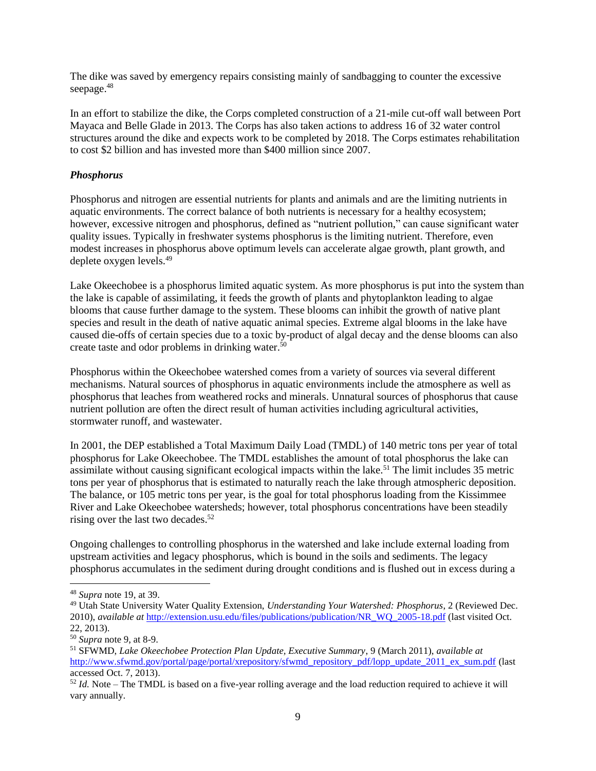The dike was saved by emergency repairs consisting mainly of sandbagging to counter the excessive seepage. 48

In an effort to stabilize the dike, the Corps completed construction of a 21-mile cut-off wall between Port Mayaca and Belle Glade in 2013. The Corps has also taken actions to address 16 of 32 water control structures around the dike and expects work to be completed by 2018. The Corps estimates rehabilitation to cost \$2 billion and has invested more than \$400 million since 2007.

#### *Phosphorus*

Phosphorus and nitrogen are essential nutrients for plants and animals and are the limiting nutrients in aquatic environments. The correct balance of both nutrients is necessary for a healthy ecosystem; however, excessive nitrogen and phosphorus, defined as "nutrient pollution," can cause significant water quality issues. Typically in freshwater systems phosphorus is the limiting nutrient. Therefore, even modest increases in phosphorus above optimum levels can accelerate algae growth, plant growth, and deplete oxygen levels.<sup>49</sup>

Lake Okeechobee is a phosphorus limited aquatic system. As more phosphorus is put into the system than the lake is capable of assimilating, it feeds the growth of plants and phytoplankton leading to algae blooms that cause further damage to the system. These blooms can inhibit the growth of native plant species and result in the death of native aquatic animal species. Extreme algal blooms in the lake have caused die-offs of certain species due to a toxic by-product of algal decay and the dense blooms can also create taste and odor problems in drinking water.<sup>50</sup>

Phosphorus within the Okeechobee watershed comes from a variety of sources via several different mechanisms. Natural sources of phosphorus in aquatic environments include the atmosphere as well as phosphorus that leaches from weathered rocks and minerals. Unnatural sources of phosphorus that cause nutrient pollution are often the direct result of human activities including agricultural activities, stormwater runoff, and wastewater.

In 2001, the DEP established a Total Maximum Daily Load (TMDL) of 140 metric tons per year of total phosphorus for Lake Okeechobee. The TMDL establishes the amount of total phosphorus the lake can assimilate without causing significant ecological impacts within the lake.<sup>51</sup> The limit includes 35 metric tons per year of phosphorus that is estimated to naturally reach the lake through atmospheric deposition. The balance, or 105 metric tons per year, is the goal for total phosphorus loading from the Kissimmee River and Lake Okeechobee watersheds; however, total phosphorus concentrations have been steadily rising over the last two decades. 52

Ongoing challenges to controlling phosphorus in the watershed and lake include external loading from upstream activities and legacy phosphorus, which is bound in the soils and sediments. The legacy phosphorus accumulates in the sediment during drought conditions and is flushed out in excess during a

<sup>48</sup> *Supra* note 19, at 39.

<sup>49</sup> Utah State University Water Quality Extension, *Understanding Your Watershed: Phosphorus*, 2 (Reviewed Dec. 2010), *available at* [http://extension.usu.edu/files/publications/publication/NR\\_WQ\\_2005-18.pdf](http://extension.usu.edu/files/publications/publication/NR_WQ_2005-18.pdf) (last visited Oct. 22, 2013).

<sup>50</sup> *Supra* note 9, at 8-9.

<sup>51</sup> SFWMD, *Lake Okeechobee Protection Plan Update, Executive Summary*, 9 (March 2011), *available at*  [http://www.sfwmd.gov/portal/page/portal/xrepository/sfwmd\\_repository\\_pdf/lopp\\_update\\_2011\\_ex\\_sum.pdf](http://www.sfwmd.gov/portal/page/portal/xrepository/sfwmd_repository_pdf/lopp_update_2011_ex_sum.pdf) (last accessed Oct. 7, 2013).

<sup>52</sup> *Id.* Note – The TMDL is based on a five-year rolling average and the load reduction required to achieve it will vary annually.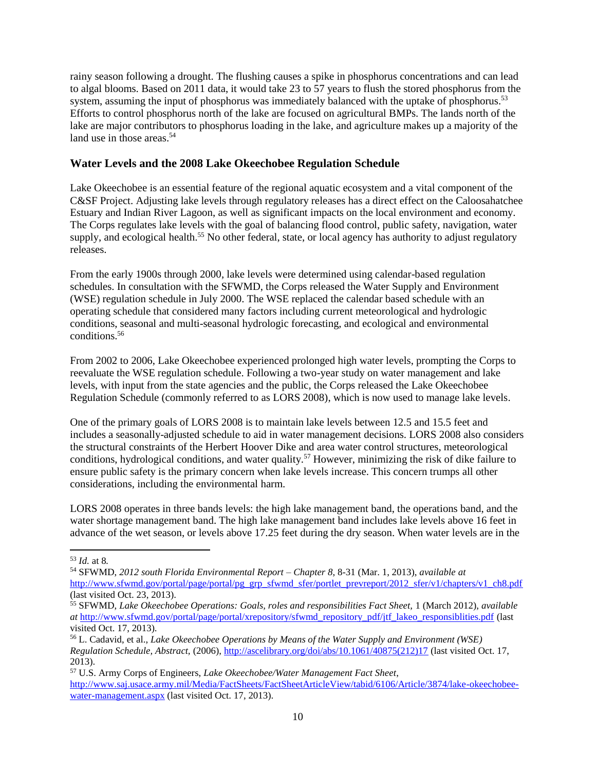rainy season following a drought. The flushing causes a spike in phosphorus concentrations and can lead to algal blooms. Based on 2011 data, it would take 23 to 57 years to flush the stored phosphorus from the system, assuming the input of phosphorus was immediately balanced with the uptake of phosphorus.<sup>53</sup> Efforts to control phosphorus north of the lake are focused on agricultural BMPs. The lands north of the lake are major contributors to phosphorus loading in the lake, and agriculture makes up a majority of the land use in those areas.<sup>54</sup>

# **Water Levels and the 2008 Lake Okeechobee Regulation Schedule**

Lake Okeechobee is an essential feature of the regional aquatic ecosystem and a vital component of the C&SF Project. Adjusting lake levels through regulatory releases has a direct effect on the Caloosahatchee Estuary and Indian River Lagoon, as well as significant impacts on the local environment and economy. The Corps regulates lake levels with the goal of balancing flood control, public safety, navigation, water supply, and ecological health.<sup>55</sup> No other federal, state, or local agency has authority to adjust regulatory releases.

From the early 1900s through 2000, lake levels were determined using calendar-based regulation schedules. In consultation with the SFWMD, the Corps released the Water Supply and Environment (WSE) regulation schedule in July 2000. The WSE replaced the calendar based schedule with an operating schedule that considered many factors including current meteorological and hydrologic conditions, seasonal and multi-seasonal hydrologic forecasting, and ecological and environmental conditions.<sup>56</sup>

From 2002 to 2006, Lake Okeechobee experienced prolonged high water levels, prompting the Corps to reevaluate the WSE regulation schedule. Following a two-year study on water management and lake levels, with input from the state agencies and the public, the Corps released the Lake Okeechobee Regulation Schedule (commonly referred to as LORS 2008), which is now used to manage lake levels.

One of the primary goals of LORS 2008 is to maintain lake levels between 12.5 and 15.5 feet and includes a seasonally-adjusted schedule to aid in water management decisions. LORS 2008 also considers the structural constraints of the Herbert Hoover Dike and area water control structures, meteorological conditions, hydrological conditions, and water quality.<sup>57</sup> However, minimizing the risk of dike failure to ensure public safety is the primary concern when lake levels increase. This concern trumps all other considerations, including the environmental harm.

LORS 2008 operates in three bands levels: the high lake management band, the operations band, and the water shortage management band. The high lake management band includes lake levels above 16 feet in advance of the wet season, or levels above 17.25 feet during the dry season. When water levels are in the

 $\overline{\phantom{a}}$ <sup>53</sup> *Id.* at 8*.*

<sup>54</sup> SFWMD, *2012 south Florida Environmental Report – Chapter 8*, 8-31 (Mar. 1, 2013), *available at* [http://www.sfwmd.gov/portal/page/portal/pg\\_grp\\_sfwmd\\_sfer/portlet\\_prevreport/2012\\_sfer/v1/chapters/v1\\_ch8.pdf](http://www.sfwmd.gov/portal/page/portal/pg_grp_sfwmd_sfer/portlet_prevreport/2012_sfer/v1/chapters/v1_ch8.pdf) (last visited Oct. 23, 2013).

<sup>55</sup> SFWMD, *Lake Okeechobee Operations: Goals, roles and responsibilities Fact Sheet,* 1 (March 2012), *available at* [http://www.sfwmd.gov/portal/page/portal/xrepository/sfwmd\\_repository\\_pdf/jtf\\_lakeo\\_responsiblities.pdf](http://www.sfwmd.gov/portal/page/portal/xrepository/sfwmd_repository_pdf/jtf_lakeo_responsiblities.pdf) (last visited Oct. 17, 2013).

<sup>56</sup> L. Cadavid, et al., *Lake Okeechobee Operations by Means of the Water Supply and Environment (WSE) Regulation Schedule, Abstract,* (2006), [http://ascelibrary.org/doi/abs/10.1061/40875\(212\)17](http://ascelibrary.org/doi/abs/10.1061/40875(212)17) (last visited Oct. 17, 2013).

<sup>57</sup> U.S. Army Corps of Engineers, *Lake Okeechobee/Water Management Fact Sheet*, [http://www.saj.usace.army.mil/Media/FactSheets/FactSheetArticleView/tabid/6106/Article/3874/lake-okeechobee](http://www.saj.usace.army.mil/Media/FactSheets/FactSheetArticleView/tabid/6106/Article/3874/lake-okeechobee-water-management.aspx)[water-management.aspx](http://www.saj.usace.army.mil/Media/FactSheets/FactSheetArticleView/tabid/6106/Article/3874/lake-okeechobee-water-management.aspx) (last visited Oct. 17, 2013).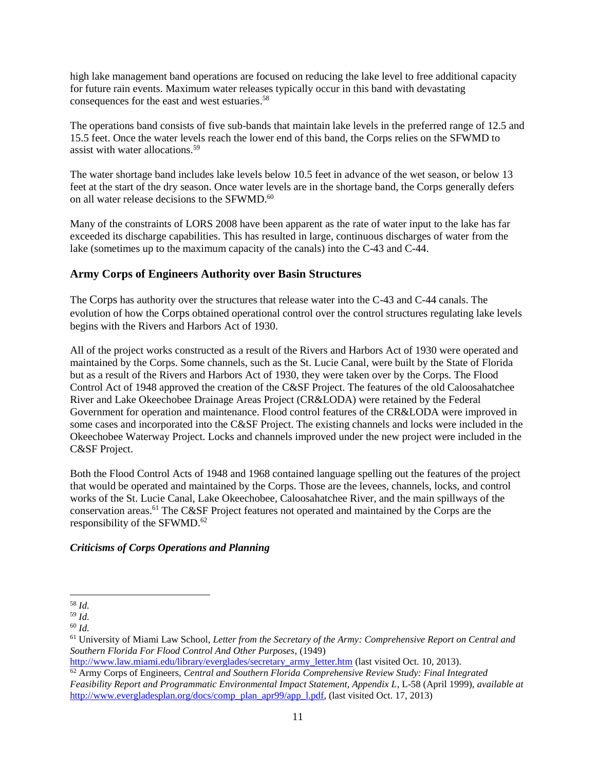high lake management band operations are focused on reducing the lake level to free additional capacity for future rain events. Maximum water releases typically occur in this band with devastating consequences for the east and west estuaries. 58

The operations band consists of five sub-bands that maintain lake levels in the preferred range of 12.5 and 15.5 feet. Once the water levels reach the lower end of this band, the Corps relies on the SFWMD to assist with water allocations<sup>59</sup>

The water shortage band includes lake levels below 10.5 feet in advance of the wet season, or below 13 feet at the start of the dry season. Once water levels are in the shortage band, the Corps generally defers on all water release decisions to the SFWMD.<sup>60</sup>

Many of the constraints of LORS 2008 have been apparent as the rate of water input to the lake has far exceeded its discharge capabilities. This has resulted in large, continuous discharges of water from the lake (sometimes up to the maximum capacity of the canals) into the C-43 and C-44.

# **Army Corps of Engineers Authority over Basin Structures**

The Corps has authority over the structures that release water into the C-43 and C-44 canals. The evolution of how the Corps obtained operational control over the control structures regulating lake levels begins with the Rivers and Harbors Act of 1930.

All of the project works constructed as a result of the Rivers and Harbors Act of 1930 were operated and maintained by the Corps. Some channels, such as the St. Lucie Canal, were built by the State of Florida but as a result of the Rivers and Harbors Act of 1930, they were taken over by the Corps. The Flood Control Act of 1948 approved the creation of the C&SF Project. The features of the old Caloosahatchee River and Lake Okeechobee Drainage Areas Project (CR&LODA) were retained by the Federal Government for operation and maintenance. Flood control features of the CR&LODA were improved in some cases and incorporated into the C&SF Project. The existing channels and locks were included in the Okeechobee Waterway Project. Locks and channels improved under the new project were included in the C&SF Project.

Both the Flood Control Acts of 1948 and 1968 contained language spelling out the features of the project that would be operated and maintained by the Corps. Those are the levees, channels, locks, and control works of the St. Lucie Canal, Lake Okeechobee, Caloosahatchee River, and the main spillways of the conservation areas.<sup>61</sup> The C&SF Project features not operated and maintained by the Corps are the responsibility of the SFWMD.<sup>62</sup>

# *Criticisms of Corps Operations and Planning*

 $\overline{\phantom{a}}$ <sup>58</sup> *Id.*

<sup>59</sup> *Id.*

<sup>60</sup> *Id.*

<sup>61</sup> University of Miami Law School, *Letter from the Secretary of the Army: Comprehensive Report on Central and Southern Florida For Flood Control And Other Purposes*, (1949)

[http://www.law.miami.edu/library/everglades/secretary\\_army\\_letter.htm](http://www.law.miami.edu/library/everglades/secretary_army_letter.htm) (last visited Oct. 10, 2013).

<sup>62</sup> Army Corps of Engineers, *Central and Southern Florida Comprehensive Review Study: Final Integrated Feasibility Report and Programmatic Environmental Impact Statement, Appendix L*, L-58 (April 1999), *available at*  http://www.evergladesplan.org/docs/comp\_plan\_apr99/app\_1.pdf, (last visited Oct. 17, 2013)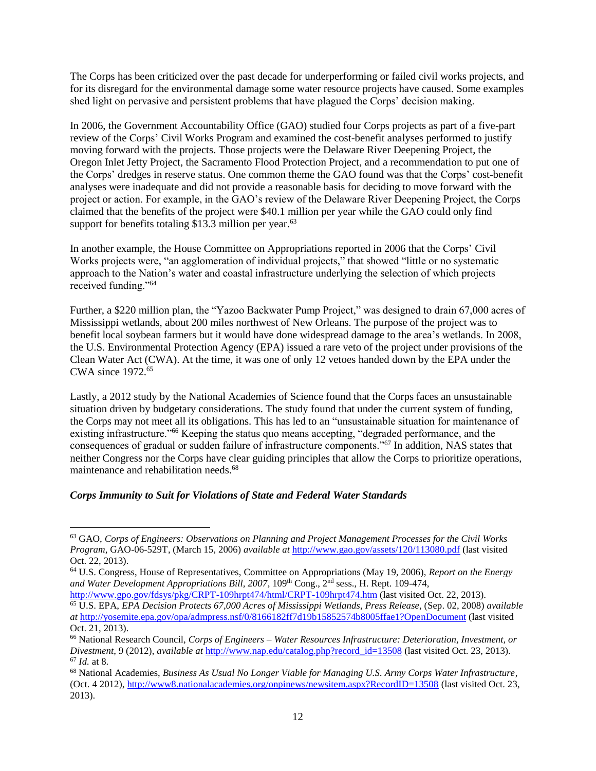The Corps has been criticized over the past decade for underperforming or failed civil works projects, and for its disregard for the environmental damage some water resource projects have caused. Some examples shed light on pervasive and persistent problems that have plagued the Corps' decision making.

In 2006, the Government Accountability Office (GAO) studied four Corps projects as part of a five-part review of the Corps' Civil Works Program and examined the cost-benefit analyses performed to justify moving forward with the projects. Those projects were the Delaware River Deepening Project, the Oregon Inlet Jetty Project, the Sacramento Flood Protection Project, and a recommendation to put one of the Corps' dredges in reserve status. One common theme the GAO found was that the Corps' cost-benefit analyses were inadequate and did not provide a reasonable basis for deciding to move forward with the project or action. For example, in the GAO's review of the Delaware River Deepening Project, the Corps claimed that the benefits of the project were \$40.1 million per year while the GAO could only find support for benefits totaling  $$13.3$  million per year.<sup>63</sup>

In another example, the House Committee on Appropriations reported in 2006 that the Corps' Civil Works projects were, "an agglomeration of individual projects," that showed "little or no systematic approach to the Nation's water and coastal infrastructure underlying the selection of which projects received funding."<sup>64</sup>

Further, a \$220 million plan, the "Yazoo Backwater Pump Project," was designed to drain 67,000 acres of Mississippi wetlands, about 200 miles northwest of New Orleans. The purpose of the project was to benefit local soybean farmers but it would have done widespread damage to the area's wetlands. In 2008, the U.S. Environmental Protection Agency (EPA) issued a rare veto of the project under provisions of the Clean Water Act (CWA). At the time, it was one of only 12 vetoes handed down by the EPA under the CWA since 1972.<sup>65</sup>

Lastly, a 2012 study by the National Academies of Science found that the Corps faces an unsustainable situation driven by budgetary considerations. The study found that under the current system of funding, the Corps may not meet all its obligations. This has led to an "unsustainable situation for maintenance of existing infrastructure."<sup>66</sup> Keeping the status quo means accepting, "degraded performance, and the consequences of gradual or sudden failure of infrastructure components."<sup>67</sup> In addition, NAS states that neither Congress nor the Corps have clear guiding principles that allow the Corps to prioritize operations, maintenance and rehabilitation needs.<sup>68</sup>

#### *Corps Immunity to Suit for Violations of State and Federal Water Standards*

l

<sup>63</sup> GAO, *Corps of Engineers: Observations on Planning and Project Management Processes for the Civil Works Program*, GAO-06-529T, (March 15, 2006) *available at* <http://www.gao.gov/assets/120/113080.pdf> (last visited Oct. 22, 2013).

<sup>64</sup> U.S. Congress, House of Representatives, Committee on Appropriations (May 19, 2006), *Report on the Energy*  and Water Development Appropriations Bill, 2007, 109<sup>th</sup> Cong., 2<sup>nd</sup> sess., H. Rept. 109-474,

<http://www.gpo.gov/fdsys/pkg/CRPT-109hrpt474/html/CRPT-109hrpt474.htm> (last visited Oct. 22, 2013). <sup>65</sup> U.S. EPA, *EPA Decision Protects 67,000 Acres of Mississippi Wetlands*, *Press Release*, (Sep. 02, 2008) *available at* <http://yosemite.epa.gov/opa/admpress.nsf/0/8166182ff7d19b15852574b8005ffae1?OpenDocument> (last visited Oct. 21, 2013).

<sup>66</sup> National Research Council, *Corps of Engineers – Water Resources Infrastructure: Deterioration, Investment, or Divestment*, 9 (2012), *available at* [http://www.nap.edu/catalog.php?record\\_id=13508](http://www.nap.edu/catalog.php?record_id=13508) (last visited Oct. 23, 2013). <sup>67</sup> *Id.* at 8.

<sup>68</sup> National Academies, *Business As Usual No Longer Viable for Managing U.S. Army Corps Water Infrastructure*, (Oct. 4 2012)[, http://www8.nationalacademies.org/onpinews/newsitem.aspx?RecordID=13508](http://www8.nationalacademies.org/onpinews/newsitem.aspx?RecordID=13508) (last visited Oct. 23, 2013).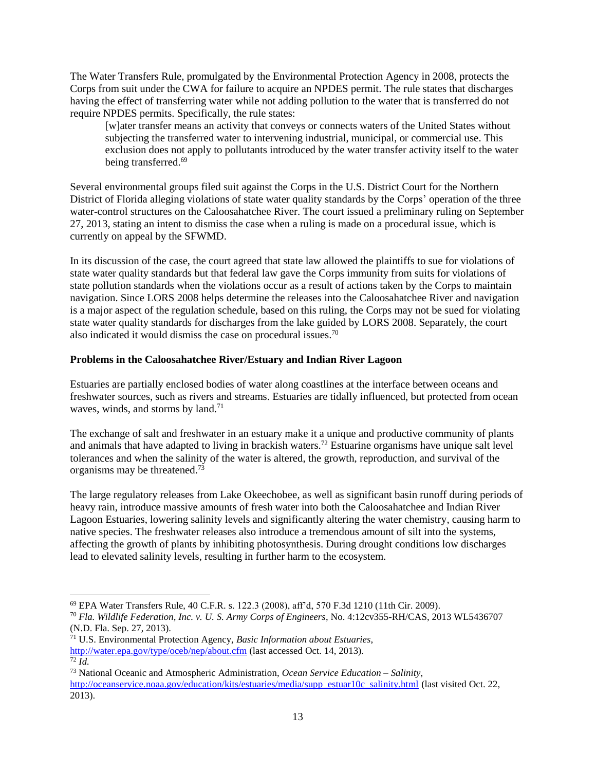The Water Transfers Rule, promulgated by the Environmental Protection Agency in 2008, protects the Corps from suit under the CWA for failure to acquire an NPDES permit. The rule states that discharges having the effect of transferring water while not adding pollution to the water that is transferred do not require NPDES permits. Specifically, the rule states:

[w]ater transfer means an activity that conveys or connects waters of the United States without subjecting the transferred water to intervening industrial, municipal, or commercial use. This exclusion does not apply to pollutants introduced by the water transfer activity itself to the water being transferred.<sup>69</sup>

Several environmental groups filed suit against the Corps in the U.S. District Court for the Northern District of Florida alleging violations of state water quality standards by the Corps' operation of the three water-control structures on the Caloosahatchee River. The court issued a preliminary ruling on September 27, 2013, stating an intent to dismiss the case when a ruling is made on a procedural issue, which is currently on appeal by the SFWMD.

In its discussion of the case, the court agreed that state law allowed the plaintiffs to sue for violations of state water quality standards but that federal law gave the Corps immunity from suits for violations of state pollution standards when the violations occur as a result of actions taken by the Corps to maintain navigation. Since LORS 2008 helps determine the releases into the Caloosahatchee River and navigation is a major aspect of the regulation schedule, based on this ruling, the Corps may not be sued for violating state water quality standards for discharges from the lake guided by LORS 2008. Separately, the court also indicated it would dismiss the case on procedural issues.<sup>70</sup>

#### **Problems in the Caloosahatchee River/Estuary and Indian River Lagoon**

Estuaries are partially enclosed bodies of water along coastlines at the interface between oceans and freshwater sources, such as rivers and streams. Estuaries are tidally influenced, but protected from ocean waves, winds, and storms by land. $71$ 

The exchange of salt and freshwater in an estuary make it a unique and productive community of plants and animals that have adapted to living in brackish waters.<sup>72</sup> Estuarine organisms have unique salt level tolerances and when the salinity of the water is altered, the growth, reproduction, and survival of the organisms may be threatened.<sup>73</sup>

The large regulatory releases from Lake Okeechobee, as well as significant basin runoff during periods of heavy rain, introduce massive amounts of fresh water into both the Caloosahatchee and Indian River Lagoon Estuaries, lowering salinity levels and significantly altering the water chemistry, causing harm to native species. The freshwater releases also introduce a tremendous amount of silt into the systems, affecting the growth of plants by inhibiting photosynthesis. During drought conditions low discharges lead to elevated salinity levels, resulting in further harm to the ecosystem.

<sup>71</sup> U.S. Environmental Protection Agency, *Basic Information about Estuaries*, <http://water.epa.gov/type/oceb/nep/about.cfm> (last accessed Oct. 14, 2013).  $\overline{72}$  *Id.* 

<sup>69</sup> EPA Water Transfers Rule, 40 C.F.R. s. 122.3 (2008), aff'd, 570 F.3d 1210 (11th Cir. 2009).

<sup>70</sup> *Fla. Wildlife Federation, Inc. v. U. S. Army Corps of Engineers*, No. 4:12cv355-RH/CAS, 2013 WL5436707 (N.D. Fla. Sep. 27, 2013).

<sup>73</sup> National Oceanic and Atmospheric Administration, *Ocean Service Education – Salinity*, [http://oceanservice.noaa.gov/education/kits/estuaries/media/supp\\_estuar10c\\_salinity.html](http://oceanservice.noaa.gov/education/kits/estuaries/media/supp_estuar10c_salinity.html) (last visited Oct. 22, 2013).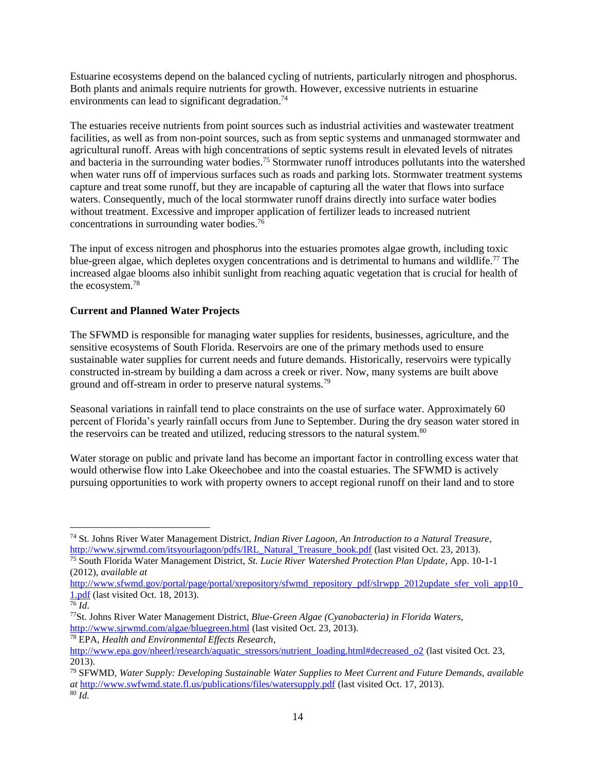Estuarine ecosystems depend on the balanced cycling of nutrients, particularly nitrogen and phosphorus. Both plants and animals require nutrients for growth. However, excessive nutrients in estuarine environments can lead to significant degradation.<sup>74</sup>

The estuaries receive nutrients from point sources such as industrial activities and wastewater treatment facilities, as well as from non-point sources, such as from septic systems and unmanaged stormwater and agricultural runoff. Areas with high concentrations of septic systems result in elevated levels of nitrates and bacteria in the surrounding water bodies.<sup>75</sup> Stormwater runoff introduces pollutants into the watershed when water runs off of impervious surfaces such as roads and parking lots. Stormwater treatment systems capture and treat some runoff, but they are incapable of capturing all the water that flows into surface waters. Consequently, much of the local stormwater runoff drains directly into surface water bodies without treatment. Excessive and improper application of fertilizer leads to increased nutrient concentrations in surrounding water bodies.<sup>76</sup>

The input of excess nitrogen and phosphorus into the estuaries promotes algae growth, including toxic blue-green algae, which depletes oxygen concentrations and is detrimental to humans and wildlife.<sup>77</sup> The increased algae blooms also inhibit sunlight from reaching aquatic vegetation that is crucial for health of the ecosystem. 78

# **Current and Planned Water Projects**

The SFWMD is responsible for managing water supplies for residents, businesses, agriculture, and the sensitive ecosystems of South Florida. Reservoirs are one of the primary methods used to ensure sustainable water supplies for current needs and future demands. Historically, reservoirs were typically constructed in-stream by building a dam across a creek or river. Now, many systems are built above ground and off-stream in order to preserve natural systems.<sup>79</sup>

Seasonal variations in rainfall tend to place constraints on the use of surface water. Approximately 60 percent of Florida's yearly rainfall occurs from June to September. During the dry season water stored in the reservoirs can be treated and utilized, reducing stressors to the natural system.<sup>80</sup>

Water storage on public and private land has become an important factor in controlling excess water that would otherwise flow into Lake Okeechobee and into the coastal estuaries. The SFWMD is actively pursuing opportunities to work with property owners to accept regional runoff on their land and to store

l <sup>74</sup> St. Johns River Water Management District, *Indian River Lagoon, An Introduction to a Natural Treasure*, [http://www.sjrwmd.com/itsyourlagoon/pdfs/IRL\\_Natural\\_Treasure\\_book.pdf](http://www.sjrwmd.com/itsyourlagoon/pdfs/IRL_Natural_Treasure_book.pdf) (last visited Oct. 23, 2013).

<sup>75</sup> South Florida Water Management District, *St. Lucie River Watershed Protection Plan Update*, App. 10-1-1 (2012), *available at* 

[http://www.sfwmd.gov/portal/page/portal/xrepository/sfwmd\\_repository\\_pdf/slrwpp\\_2012update\\_sfer\\_voli\\_app10\\_](http://www.sfwmd.gov/portal/page/portal/xrepository/sfwmd_repository_pdf/slrwpp_2012update_sfer_voli_app10_1.pdf) [1.pdf](http://www.sfwmd.gov/portal/page/portal/xrepository/sfwmd_repository_pdf/slrwpp_2012update_sfer_voli_app10_1.pdf) (last visited Oct. 18, 2013).

 $\overline{^{76}}$ *Id.* 

<sup>77</sup>St. Johns River Water Management District, *Blue-Green Algae (Cyanobacteria) in Florida Waters,* <http://www.sjrwmd.com/algae/bluegreen.html> (last visited Oct. 23, 2013).

<sup>78</sup> EPA, *Health and Environmental Effects Research*, [http://www.epa.gov/nheerl/research/aquatic\\_stressors/nutrient\\_loading.html#decreased\\_o2](http://www.epa.gov/nheerl/research/aquatic_stressors/nutrient_loading.html#decreased_o2) (last visited Oct. 23, 2013).

<sup>79</sup> SFWMD, *Water Supply: Developing Sustainable Water Supplies to Meet Current and Future Demands, available at* <http://www.swfwmd.state.fl.us/publications/files/watersupply.pdf> (last visited Oct. 17, 2013). <sup>80</sup> *Id.*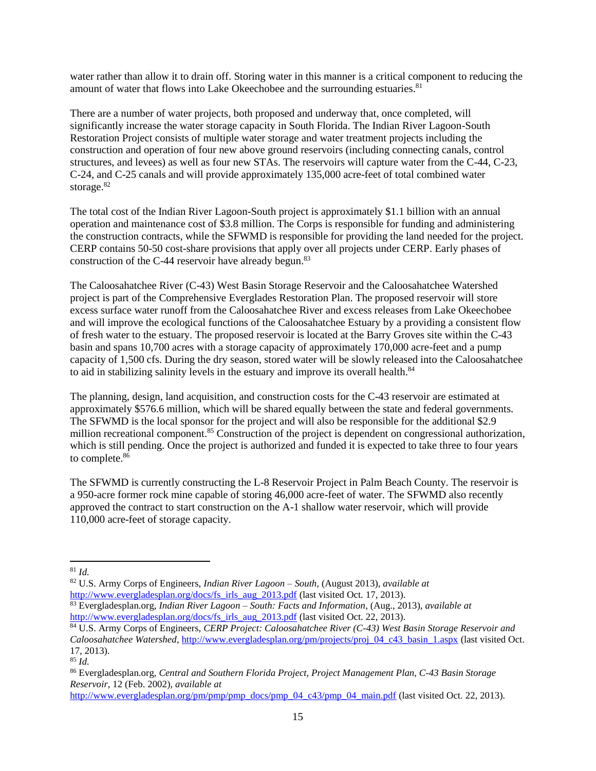water rather than allow it to drain off. Storing water in this manner is a critical component to reducing the amount of water that flows into Lake Okeechobee and the surrounding estuaries.<sup>81</sup>

There are a number of water projects, both proposed and underway that, once completed, will significantly increase the water storage capacity in South Florida. The Indian River Lagoon-South Restoration Project consists of multiple water storage and water treatment projects including the construction and operation of four new above ground reservoirs (including connecting canals, control structures, and levees) as well as four new STAs. The reservoirs will capture water from the C-44, C-23, C-24, and C-25 canals and will provide approximately 135,000 acre-feet of total combined water storage.<sup>82</sup>

The total cost of the Indian River Lagoon-South project is approximately \$1.1 billion with an annual operation and maintenance cost of \$3.8 million. The Corps is responsible for funding and administering the construction contracts, while the SFWMD is responsible for providing the land needed for the project. CERP contains 50-50 cost-share provisions that apply over all projects under CERP. Early phases of construction of the C-44 reservoir have already begun.<sup>83</sup>

The Caloosahatchee River (C-43) West Basin Storage Reservoir and the Caloosahatchee Watershed project is part of the Comprehensive Everglades Restoration Plan. The proposed reservoir will store excess surface water runoff from the Caloosahatchee River and excess releases from Lake Okeechobee and will improve the ecological functions of the Caloosahatchee Estuary by a providing a consistent flow of fresh water to the estuary. The proposed reservoir is located at the Barry Groves site within the C-43 basin and spans 10,700 acres with a storage capacity of approximately 170,000 acre-feet and a pump capacity of 1,500 cfs. During the dry season, stored water will be slowly released into the Caloosahatchee to aid in stabilizing salinity levels in the estuary and improve its overall health.<sup>84</sup>

The planning, design, land acquisition, and construction costs for the C-43 reservoir are estimated at approximately \$576.6 million, which will be shared equally between the state and federal governments. The SFWMD is the local sponsor for the project and will also be responsible for the additional \$2.9 million recreational component.<sup>85</sup> Construction of the project is dependent on congressional authorization, which is still pending. Once the project is authorized and funded it is expected to take three to four years to complete.<sup>86</sup>

The SFWMD is currently constructing the L-8 Reservoir Project in Palm Beach County. The reservoir is a 950-acre former rock mine capable of storing 46,000 acre-feet of water. The SFWMD also recently approved the contract to start construction on the A-1 shallow water reservoir, which will provide 110,000 acre-feet of storage capacity.

 $\overline{a}$ 

<sup>81</sup> *Id.*

<sup>82</sup> U.S. Army Corps of Engineers, *Indian River Lagoon – South,* (August 2013), *available at* [http://www.evergladesplan.org/docs/fs\\_irls\\_aug\\_2013.pdf](http://www.evergladesplan.org/docs/fs_irls_aug_2013.pdf) (last visited Oct. 17, 2013).

<sup>83</sup> Evergladesplan.org, *Indian River Lagoon – South: Facts and Information*, (Aug., 2013), *available at*  [http://www.evergladesplan.org/docs/fs\\_irls\\_aug\\_2013.pdf](http://www.evergladesplan.org/docs/fs_irls_aug_2013.pdf) (last visited Oct. 22, 2013).

<sup>84</sup> U.S. Army Corps of Engineers, *CERP Project: Caloosahatchee River (C-43) West Basin Storage Reservoir and Caloosahatchee Watershed*[, http://www.evergladesplan.org/pm/projects/proj\\_04\\_c43\\_basin\\_1.aspx](http://www.evergladesplan.org/pm/projects/proj_04_c43_basin_1.aspx) (last visited Oct. 17, 2013).

<sup>85</sup> *Id.*

<sup>86</sup> Evergladesplan.org, *Central and Southern Florida Project, Project Management Plan, C-43 Basin Storage Reservoir*, 12 (Feb. 2002), *available at* 

[http://www.evergladesplan.org/pm/pmp/pmp\\_docs/pmp\\_04\\_c43/pmp\\_04\\_main.pdf](http://www.evergladesplan.org/pm/pmp/pmp_docs/pmp_04_c43/pmp_04_main.pdf) (last visited Oct. 22, 2013).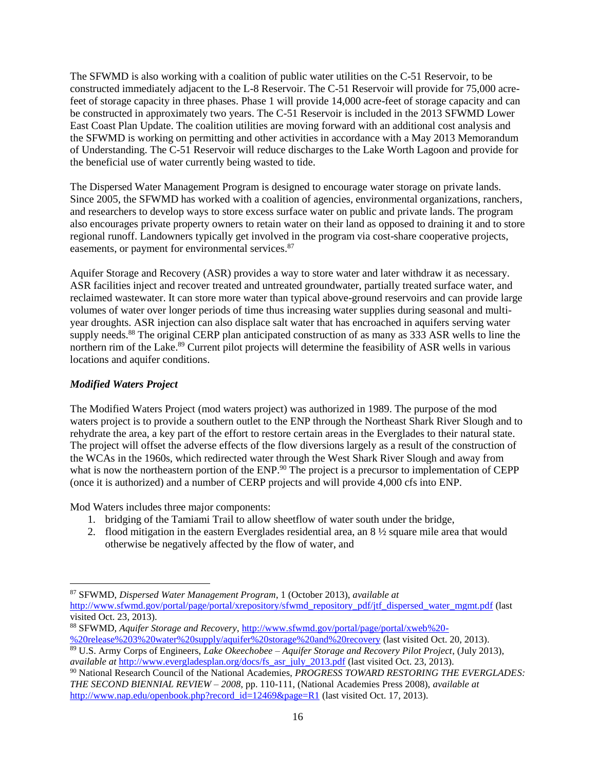The SFWMD is also working with a coalition of public water utilities on the C-51 Reservoir, to be constructed immediately adjacent to the L-8 Reservoir. The C-51 Reservoir will provide for 75,000 acrefeet of storage capacity in three phases. Phase 1 will provide 14,000 acre-feet of storage capacity and can be constructed in approximately two years. The C-51 Reservoir is included in the 2013 SFWMD Lower East Coast Plan Update. The coalition utilities are moving forward with an additional cost analysis and the SFWMD is working on permitting and other activities in accordance with a May 2013 Memorandum of Understanding. The C-51 Reservoir will reduce discharges to the Lake Worth Lagoon and provide for the beneficial use of water currently being wasted to tide.

The Dispersed Water Management Program is designed to encourage water storage on private lands. Since 2005, the SFWMD has worked with a coalition of agencies, environmental organizations, ranchers, and researchers to develop ways to store excess surface water on public and private lands. The program also encourages private property owners to retain water on their land as opposed to draining it and to store regional runoff. Landowners typically get involved in the program via cost-share cooperative projects, easements, or payment for environmental services.<sup>87</sup>

Aquifer Storage and Recovery (ASR) provides a way to store water and later withdraw it as necessary. ASR facilities inject and recover treated and untreated groundwater, partially treated surface water, and reclaimed wastewater. It can store more water than typical above-ground reservoirs and can provide large volumes of water over longer periods of time thus increasing water supplies during seasonal and multiyear droughts. ASR injection can also displace salt water that has encroached in aquifers serving water supply needs.<sup>88</sup> The original CERP plan anticipated construction of as many as 333 ASR wells to line the northern rim of the Lake.<sup>89</sup> Current pilot projects will determine the feasibility of ASR wells in various locations and aquifer conditions.

## *Modified Waters Project*

The Modified Waters Project (mod waters project) was authorized in 1989. The purpose of the mod waters project is to provide a southern outlet to the ENP through the Northeast Shark River Slough and to rehydrate the area, a key part of the effort to restore certain areas in the Everglades to their natural state. The project will offset the adverse effects of the flow diversions largely as a result of the construction of the WCAs in the 1960s, which redirected water through the West Shark River Slough and away from what is now the northeastern portion of the ENP.<sup>90</sup> The project is a precursor to implementation of CEPP (once it is authorized) and a number of CERP projects and will provide 4,000 cfs into ENP.

Mod Waters includes three major components:

- 1. bridging of the Tamiami Trail to allow sheetflow of water south under the bridge,
- 2. flood mitigation in the eastern Everglades residential area, an 8 ½ square mile area that would otherwise be negatively affected by the flow of water, and

 $\overline{\phantom{a}}$ <sup>87</sup> SFWMD, *Dispersed Water Management Program*, 1 (October 2013), *available at* [http://www.sfwmd.gov/portal/page/portal/xrepository/sfwmd\\_repository\\_pdf/jtf\\_dispersed\\_water\\_mgmt.pdf](http://www.sfwmd.gov/portal/page/portal/xrepository/sfwmd_repository_pdf/jtf_dispersed_water_mgmt.pdf) (last visited Oct. 23, 2013).

<sup>88</sup> SFWMD, *Aquifer Storage and Recovery*[, http://www.sfwmd.gov/portal/page/portal/xweb%20-](http://www.sfwmd.gov/portal/page/portal/xweb%20-%20release%203%20water%20supply/aquifer%20storage%20and%20recovery) [%20release%203%20water%20supply/aquifer%20storage%20and%20recovery](http://www.sfwmd.gov/portal/page/portal/xweb%20-%20release%203%20water%20supply/aquifer%20storage%20and%20recovery) (last visited Oct. 20, 2013).

<sup>89</sup> U.S. Army Corps of Engineers, *Lake Okeechobee – Aquifer Storage and Recovery Pilot Project*, (July 2013), *available at* [http://www.evergladesplan.org/docs/fs\\_asr\\_july\\_2013.pdf](http://www.evergladesplan.org/docs/fs_asr_july_2013.pdf) (last visited Oct. 23, 2013).

<sup>90</sup> National Research Council of the National Academies, *PROGRESS TOWARD RESTORING THE EVERGLADES: THE SECOND BIENNIAL REVIEW – 2008*, pp. 110-111, (National Academies Press 2008), *available at* [http://www.nap.edu/openbook.php?record\\_id=12469&page=R1](http://www.nap.edu/openbook.php?record_id=12469&page=R1) (last visited Oct. 17, 2013).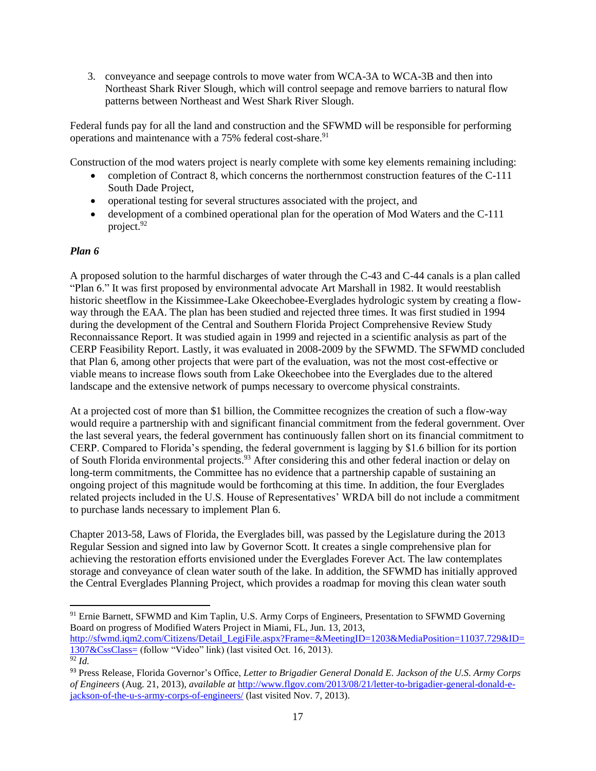3. conveyance and seepage controls to move water from WCA-3A to WCA-3B and then into Northeast Shark River Slough, which will control seepage and remove barriers to natural flow patterns between Northeast and West Shark River Slough.

Federal funds pay for all the land and construction and the SFWMD will be responsible for performing operations and maintenance with a 75% federal cost-share.<sup>91</sup>

Construction of the mod waters project is nearly complete with some key elements remaining including:

- completion of Contract 8, which concerns the northernmost construction features of the C-111 South Dade Project,
- operational testing for several structures associated with the project, and
- development of a combined operational plan for the operation of Mod Waters and the C-111 project.<sup>92</sup>

### *Plan 6*

l

A proposed solution to the harmful discharges of water through the C-43 and C-44 canals is a plan called "Plan 6." It was first proposed by environmental advocate Art Marshall in 1982. It would reestablish historic sheetflow in the Kissimmee-Lake Okeechobee-Everglades hydrologic system by creating a flowway through the EAA. The plan has been studied and rejected three times. It was first studied in 1994 during the development of the Central and Southern Florida Project Comprehensive Review Study Reconnaissance Report. It was studied again in 1999 and rejected in a scientific analysis as part of the CERP Feasibility Report. Lastly, it was evaluated in 2008-2009 by the SFWMD. The SFWMD concluded that Plan 6, among other projects that were part of the evaluation, was not the most cost-effective or viable means to increase flows south from Lake Okeechobee into the Everglades due to the altered landscape and the extensive network of pumps necessary to overcome physical constraints.

At a projected cost of more than \$1 billion, the Committee recognizes the creation of such a flow-way would require a partnership with and significant financial commitment from the federal government. Over the last several years, the federal government has continuously fallen short on its financial commitment to CERP. Compared to Florida's spending, the federal government is lagging by \$1.6 billion for its portion of South Florida environmental projects.<sup>93</sup> After considering this and other federal inaction or delay on long-term commitments, the Committee has no evidence that a partnership capable of sustaining an ongoing project of this magnitude would be forthcoming at this time. In addition, the four Everglades related projects included in the U.S. House of Representatives' WRDA bill do not include a commitment to purchase lands necessary to implement Plan 6.

Chapter 2013-58, Laws of Florida, the Everglades bill, was passed by the Legislature during the 2013 Regular Session and signed into law by Governor Scott. It creates a single comprehensive plan for achieving the restoration efforts envisioned under the Everglades Forever Act. The law contemplates storage and conveyance of clean water south of the lake. In addition, the SFWMD has initially approved the Central Everglades Planning Project, which provides a roadmap for moving this clean water south

<sup>&</sup>lt;sup>91</sup> Ernie Barnett, SFWMD and Kim Taplin, U.S. Army Corps of Engineers, Presentation to SFWMD Governing Board on progress of Modified Waters Project in Miami, FL, Jun. 13, 2013,

[http://sfwmd.iqm2.com/Citizens/Detail\\_LegiFile.aspx?Frame=&MeetingID=1203&MediaPosition=11037.729&ID=](http://sfwmd.iqm2.com/Citizens/Detail_LegiFile.aspx?Frame=&MeetingID=1203&MediaPosition=11037.729&ID=1307&CssClass) [1307&CssClass=](http://sfwmd.iqm2.com/Citizens/Detail_LegiFile.aspx?Frame=&MeetingID=1203&MediaPosition=11037.729&ID=1307&CssClass) (follow "Video" link) (last visited Oct. 16, 2013). <sup>92</sup> *Id.*

<sup>93</sup> Press Release, Florida Governor's Office, *Letter to Brigadier General Donald E. Jackson of the U.S. Army Corps of Engineers* (Aug. 21, 2013), *available at* [http://www.flgov.com/2013/08/21/letter-to-brigadier-general-donald-e](http://www.flgov.com/2013/08/21/letter-to-brigadier-general-donald-e-jackson-of-the-u-s-army-corps-of-engineers/)[jackson-of-the-u-s-army-corps-of-engineers/](http://www.flgov.com/2013/08/21/letter-to-brigadier-general-donald-e-jackson-of-the-u-s-army-corps-of-engineers/) (last visited Nov. 7, 2013).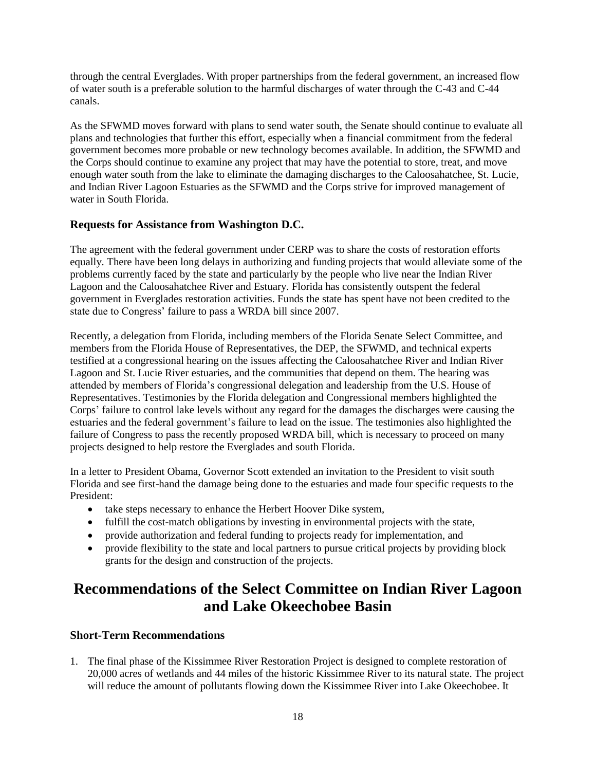through the central Everglades. With proper partnerships from the federal government, an increased flow of water south is a preferable solution to the harmful discharges of water through the C-43 and C-44 canals.

As the SFWMD moves forward with plans to send water south, the Senate should continue to evaluate all plans and technologies that further this effort, especially when a financial commitment from the federal government becomes more probable or new technology becomes available. In addition, the SFWMD and the Corps should continue to examine any project that may have the potential to store, treat, and move enough water south from the lake to eliminate the damaging discharges to the Caloosahatchee, St. Lucie, and Indian River Lagoon Estuaries as the SFWMD and the Corps strive for improved management of water in South Florida.

# **Requests for Assistance from Washington D.C.**

The agreement with the federal government under CERP was to share the costs of restoration efforts equally. There have been long delays in authorizing and funding projects that would alleviate some of the problems currently faced by the state and particularly by the people who live near the Indian River Lagoon and the Caloosahatchee River and Estuary. Florida has consistently outspent the federal government in Everglades restoration activities. Funds the state has spent have not been credited to the state due to Congress' failure to pass a WRDA bill since 2007.

Recently, a delegation from Florida, including members of the Florida Senate Select Committee, and members from the Florida House of Representatives, the DEP, the SFWMD, and technical experts testified at a congressional hearing on the issues affecting the Caloosahatchee River and Indian River Lagoon and St. Lucie River estuaries, and the communities that depend on them. The hearing was attended by members of Florida's congressional delegation and leadership from the U.S. House of Representatives. Testimonies by the Florida delegation and Congressional members highlighted the Corps' failure to control lake levels without any regard for the damages the discharges were causing the estuaries and the federal government's failure to lead on the issue. The testimonies also highlighted the failure of Congress to pass the recently proposed WRDA bill, which is necessary to proceed on many projects designed to help restore the Everglades and south Florida.

In a letter to President Obama, Governor Scott extended an invitation to the President to visit south Florida and see first-hand the damage being done to the estuaries and made four specific requests to the President:

- take steps necessary to enhance the Herbert Hoover Dike system,
- fulfill the cost-match obligations by investing in environmental projects with the state,
- provide authorization and federal funding to projects ready for implementation, and
- provide flexibility to the state and local partners to pursue critical projects by providing block grants for the design and construction of the projects.

# **Recommendations of the Select Committee on Indian River Lagoon and Lake Okeechobee Basin**

# **Short-Term Recommendations**

1. The final phase of the Kissimmee River Restoration Project is designed to complete restoration of 20,000 acres of wetlands and 44 miles of the historic Kissimmee River to its natural state. The project will reduce the amount of pollutants flowing down the Kissimmee River into Lake Okeechobee. It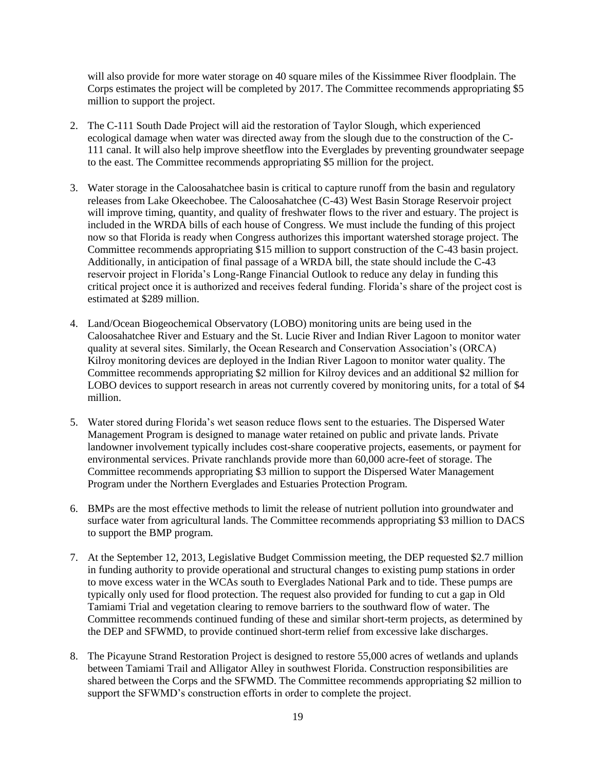will also provide for more water storage on 40 square miles of the Kissimmee River floodplain. The Corps estimates the project will be completed by 2017. The Committee recommends appropriating \$5 million to support the project.

- 2. The C-111 South Dade Project will aid the restoration of Taylor Slough, which experienced ecological damage when water was directed away from the slough due to the construction of the C-111 canal. It will also help improve sheetflow into the Everglades by preventing groundwater seepage to the east. The Committee recommends appropriating \$5 million for the project.
- 3. Water storage in the Caloosahatchee basin is critical to capture runoff from the basin and regulatory releases from Lake Okeechobee. The Caloosahatchee (C-43) West Basin Storage Reservoir project will improve timing, quantity, and quality of freshwater flows to the river and estuary. The project is included in the WRDA bills of each house of Congress. We must include the funding of this project now so that Florida is ready when Congress authorizes this important watershed storage project. The Committee recommends appropriating \$15 million to support construction of the C-43 basin project. Additionally, in anticipation of final passage of a WRDA bill, the state should include the C-43 reservoir project in Florida's Long-Range Financial Outlook to reduce any delay in funding this critical project once it is authorized and receives federal funding. Florida's share of the project cost is estimated at \$289 million.
- 4. Land/Ocean Biogeochemical Observatory (LOBO) monitoring units are being used in the Caloosahatchee River and Estuary and the St. Lucie River and Indian River Lagoon to monitor water quality at several sites. Similarly, the Ocean Research and Conservation Association's (ORCA) Kilroy monitoring devices are deployed in the Indian River Lagoon to monitor water quality. The Committee recommends appropriating \$2 million for Kilroy devices and an additional \$2 million for LOBO devices to support research in areas not currently covered by monitoring units, for a total of \$4 million.
- 5. Water stored during Florida's wet season reduce flows sent to the estuaries. The Dispersed Water Management Program is designed to manage water retained on public and private lands. Private landowner involvement typically includes cost-share cooperative projects, easements, or payment for environmental services. Private ranchlands provide more than 60,000 acre-feet of storage. The Committee recommends appropriating \$3 million to support the Dispersed Water Management Program under the Northern Everglades and Estuaries Protection Program.
- 6. BMPs are the most effective methods to limit the release of nutrient pollution into groundwater and surface water from agricultural lands. The Committee recommends appropriating \$3 million to DACS to support the BMP program.
- 7. At the September 12, 2013, Legislative Budget Commission meeting, the DEP requested \$2.7 million in funding authority to provide operational and structural changes to existing pump stations in order to move excess water in the WCAs south to Everglades National Park and to tide. These pumps are typically only used for flood protection. The request also provided for funding to cut a gap in Old Tamiami Trial and vegetation clearing to remove barriers to the southward flow of water. The Committee recommends continued funding of these and similar short-term projects, as determined by the DEP and SFWMD, to provide continued short-term relief from excessive lake discharges.
- 8. The Picayune Strand Restoration Project is designed to restore 55,000 acres of wetlands and uplands between Tamiami Trail and Alligator Alley in southwest Florida. Construction responsibilities are shared between the Corps and the SFWMD. The Committee recommends appropriating \$2 million to support the SFWMD's construction efforts in order to complete the project.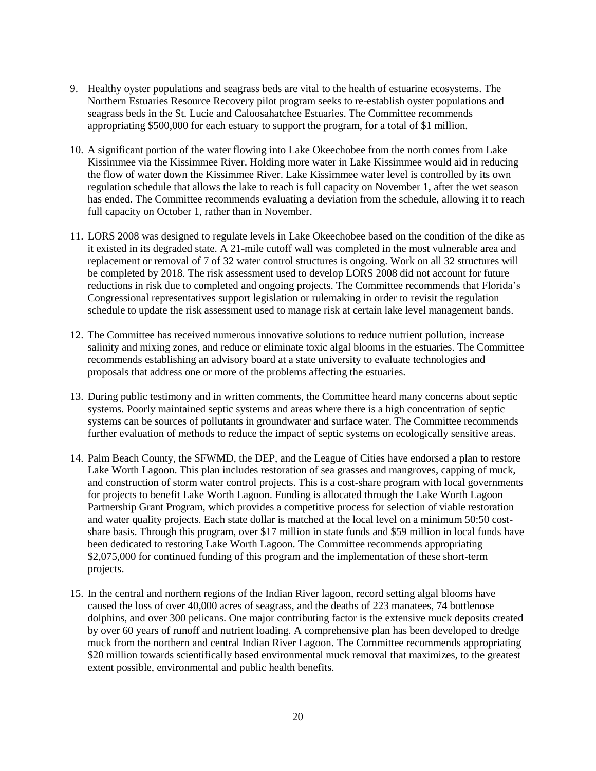- 9. Healthy oyster populations and seagrass beds are vital to the health of estuarine ecosystems. The Northern Estuaries Resource Recovery pilot program seeks to re-establish oyster populations and seagrass beds in the St. Lucie and Caloosahatchee Estuaries. The Committee recommends appropriating \$500,000 for each estuary to support the program, for a total of \$1 million.
- 10. A significant portion of the water flowing into Lake Okeechobee from the north comes from Lake Kissimmee via the Kissimmee River. Holding more water in Lake Kissimmee would aid in reducing the flow of water down the Kissimmee River. Lake Kissimmee water level is controlled by its own regulation schedule that allows the lake to reach is full capacity on November 1, after the wet season has ended. The Committee recommends evaluating a deviation from the schedule, allowing it to reach full capacity on October 1, rather than in November.
- 11. LORS 2008 was designed to regulate levels in Lake Okeechobee based on the condition of the dike as it existed in its degraded state. A 21-mile cutoff wall was completed in the most vulnerable area and replacement or removal of 7 of 32 water control structures is ongoing. Work on all 32 structures will be completed by 2018. The risk assessment used to develop LORS 2008 did not account for future reductions in risk due to completed and ongoing projects. The Committee recommends that Florida's Congressional representatives support legislation or rulemaking in order to revisit the regulation schedule to update the risk assessment used to manage risk at certain lake level management bands.
- 12. The Committee has received numerous innovative solutions to reduce nutrient pollution, increase salinity and mixing zones, and reduce or eliminate toxic algal blooms in the estuaries. The Committee recommends establishing an advisory board at a state university to evaluate technologies and proposals that address one or more of the problems affecting the estuaries.
- 13. During public testimony and in written comments, the Committee heard many concerns about septic systems. Poorly maintained septic systems and areas where there is a high concentration of septic systems can be sources of pollutants in groundwater and surface water. The Committee recommends further evaluation of methods to reduce the impact of septic systems on ecologically sensitive areas.
- 14. Palm Beach County, the SFWMD, the DEP, and the League of Cities have endorsed a plan to restore Lake Worth Lagoon. This plan includes restoration of sea grasses and mangroves, capping of muck, and construction of storm water control projects. This is a cost-share program with local governments for projects to benefit Lake Worth Lagoon. Funding is allocated through the Lake Worth Lagoon Partnership Grant Program, which provides a competitive process for selection of viable restoration and water quality projects. Each state dollar is matched at the local level on a minimum 50:50 costshare basis. Through this program, over \$17 million in state funds and \$59 million in local funds have been dedicated to restoring Lake Worth Lagoon. The Committee recommends appropriating \$2,075,000 for continued funding of this program and the implementation of these short-term projects.
- 15. In the central and northern regions of the Indian River lagoon, record setting algal blooms have caused the loss of over 40,000 acres of seagrass, and the deaths of 223 manatees, 74 bottlenose dolphins, and over 300 pelicans. One major contributing factor is the extensive muck deposits created by over 60 years of runoff and nutrient loading. A comprehensive plan has been developed to dredge muck from the northern and central Indian River Lagoon. The Committee recommends appropriating \$20 million towards scientifically based environmental muck removal that maximizes, to the greatest extent possible, environmental and public health benefits.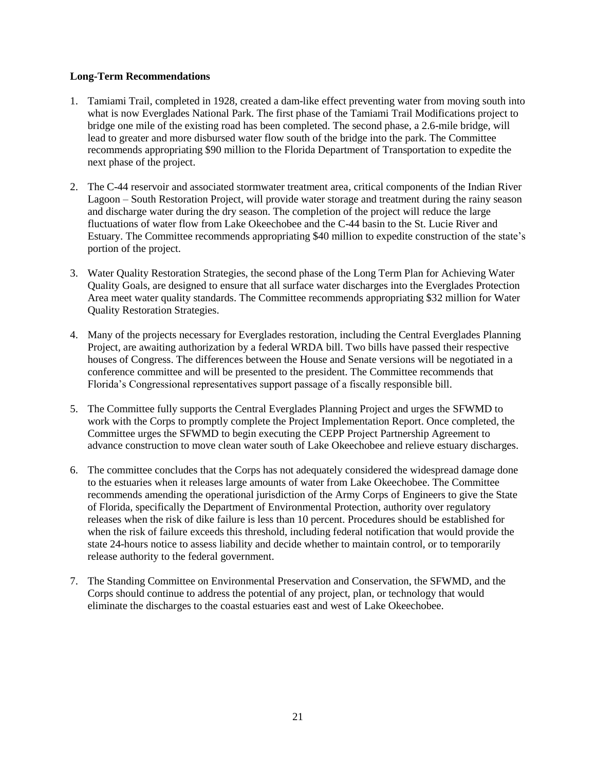#### **Long-Term Recommendations**

- 1. Tamiami Trail, completed in 1928, created a dam-like effect preventing water from moving south into what is now Everglades National Park. The first phase of the Tamiami Trail Modifications project to bridge one mile of the existing road has been completed. The second phase, a 2.6-mile bridge, will lead to greater and more disbursed water flow south of the bridge into the park. The Committee recommends appropriating \$90 million to the Florida Department of Transportation to expedite the next phase of the project.
- 2. The C-44 reservoir and associated stormwater treatment area, critical components of the Indian River Lagoon – South Restoration Project, will provide water storage and treatment during the rainy season and discharge water during the dry season. The completion of the project will reduce the large fluctuations of water flow from Lake Okeechobee and the C-44 basin to the St. Lucie River and Estuary. The Committee recommends appropriating \$40 million to expedite construction of the state's portion of the project.
- 3. Water Quality Restoration Strategies, the second phase of the Long Term Plan for Achieving Water Quality Goals, are designed to ensure that all surface water discharges into the Everglades Protection Area meet water quality standards. The Committee recommends appropriating \$32 million for Water Quality Restoration Strategies.
- 4. Many of the projects necessary for Everglades restoration, including the Central Everglades Planning Project, are awaiting authorization by a federal WRDA bill. Two bills have passed their respective houses of Congress. The differences between the House and Senate versions will be negotiated in a conference committee and will be presented to the president. The Committee recommends that Florida's Congressional representatives support passage of a fiscally responsible bill.
- 5. The Committee fully supports the Central Everglades Planning Project and urges the SFWMD to work with the Corps to promptly complete the Project Implementation Report. Once completed, the Committee urges the SFWMD to begin executing the CEPP Project Partnership Agreement to advance construction to move clean water south of Lake Okeechobee and relieve estuary discharges.
- 6. The committee concludes that the Corps has not adequately considered the widespread damage done to the estuaries when it releases large amounts of water from Lake Okeechobee. The Committee recommends amending the operational jurisdiction of the Army Corps of Engineers to give the State of Florida, specifically the Department of Environmental Protection, authority over regulatory releases when the risk of dike failure is less than 10 percent. Procedures should be established for when the risk of failure exceeds this threshold, including federal notification that would provide the state 24-hours notice to assess liability and decide whether to maintain control, or to temporarily release authority to the federal government.
- 7. The Standing Committee on Environmental Preservation and Conservation, the SFWMD, and the Corps should continue to address the potential of any project, plan, or technology that would eliminate the discharges to the coastal estuaries east and west of Lake Okeechobee.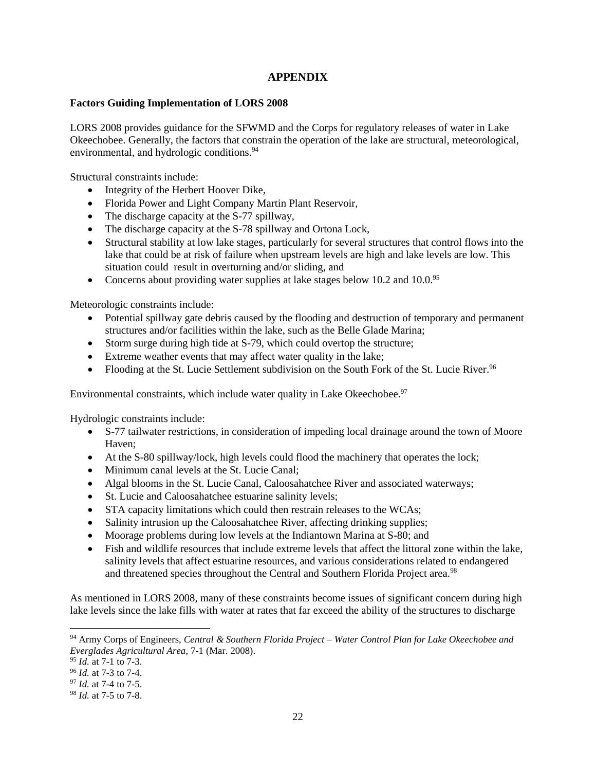# **APPENDIX**

#### **Factors Guiding Implementation of LORS 2008**

LORS 2008 provides guidance for the SFWMD and the Corps for regulatory releases of water in Lake Okeechobee. Generally, the factors that constrain the operation of the lake are structural, meteorological, environmental, and hydrologic conditions.<sup>94</sup>

Structural constraints include:

- Integrity of the Herbert Hoover Dike,
- Florida Power and Light Company Martin Plant Reservoir,
- The discharge capacity at the S-77 spillway,
- The discharge capacity at the S-78 spillway and Ortona Lock,
- Structural stability at low lake stages, particularly for several structures that control flows into the lake that could be at risk of failure when upstream levels are high and lake levels are low. This situation could result in overturning and/or sliding, and
- Concerns about providing water supplies at lake stages below 10.2 and 10.0.95

Meteorologic constraints include:

- Potential spillway gate debris caused by the flooding and destruction of temporary and permanent structures and/or facilities within the lake, such as the Belle Glade Marina;
- Storm surge during high tide at S-79, which could overtop the structure;
- Extreme weather events that may affect water quality in the lake;
- Flooding at the St. Lucie Settlement subdivision on the South Fork of the St. Lucie River.<sup>96</sup>

Environmental constraints, which include water quality in Lake Okeechobee.<sup>97</sup>

Hydrologic constraints include:

- S-77 tailwater restrictions, in consideration of impeding local drainage around the town of Moore Haven;
- At the S-80 spillway/lock, high levels could flood the machinery that operates the lock;
- Minimum canal levels at the St. Lucie Canal;
- Algal blooms in the St. Lucie Canal, Caloosahatchee River and associated waterways;
- St. Lucie and Caloosahatchee estuarine salinity levels;
- STA capacity limitations which could then restrain releases to the WCAs;
- Salinity intrusion up the Caloosahatchee River, affecting drinking supplies;
- Moorage problems during low levels at the Indiantown Marina at S-80; and
- Fish and wildlife resources that include extreme levels that affect the littoral zone within the lake, salinity levels that affect estuarine resources, and various considerations related to endangered and threatened species throughout the Central and Southern Florida Project area.<sup>98</sup>

As mentioned in LORS 2008, many of these constraints become issues of significant concern during high lake levels since the lake fills with water at rates that far exceed the ability of the structures to discharge

l

<sup>94</sup> Army Corps of Engineers, *Central & Southern Florida Project – Water Control Plan for Lake Okeechobee and Everglades Agricultural Area*, 7-1 (Mar. 2008).

<sup>95</sup> *Id.* at 7-1 to 7-3.

<sup>96</sup> *Id.* at 7-3 to 7-4.

<sup>97</sup> *Id.* at 7-4 to 7-5.

<sup>98</sup> *Id.* at 7-5 to 7-8.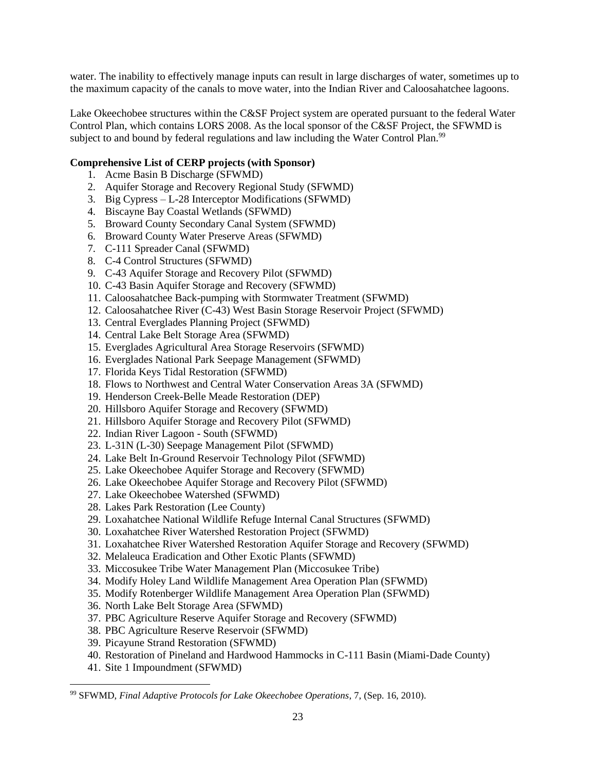water. The inability to effectively manage inputs can result in large discharges of water, sometimes up to the maximum capacity of the canals to move water, into the Indian River and Caloosahatchee lagoons.

Lake Okeechobee structures within the C&SF Project system are operated pursuant to the federal Water Control Plan, which contains LORS 2008. As the local sponsor of the C&SF Project, the SFWMD is subject to and bound by federal regulations and law including the Water Control Plan.<sup>99</sup>

### **Comprehensive List of CERP projects (with Sponsor)**

- 1. Acme Basin B Discharge (SFWMD)
- 2. Aquifer Storage and Recovery Regional Study (SFWMD)
- 3. Big Cypress L-28 Interceptor Modifications (SFWMD)
- 4. Biscayne Bay Coastal Wetlands (SFWMD)
- 5. Broward County Secondary Canal System (SFWMD)
- 6. Broward County Water Preserve Areas (SFWMD)
- 7. C-111 Spreader Canal (SFWMD)
- 8. C-4 Control Structures (SFWMD)
- 9. C-43 Aquifer Storage and Recovery Pilot (SFWMD)
- 10. C-43 Basin Aquifer Storage and Recovery (SFWMD)
- 11. Caloosahatchee Back-pumping with Stormwater Treatment (SFWMD)
- 12. Caloosahatchee River (C-43) West Basin Storage Reservoir Project (SFWMD)
- 13. Central Everglades Planning Project (SFWMD)
- 14. Central Lake Belt Storage Area (SFWMD)
- 15. Everglades Agricultural Area Storage Reservoirs (SFWMD)
- 16. Everglades National Park Seepage Management (SFWMD)
- 17. Florida Keys Tidal Restoration (SFWMD)
- 18. Flows to Northwest and Central Water Conservation Areas 3A (SFWMD)
- 19. Henderson Creek-Belle Meade Restoration (DEP)
- 20. Hillsboro Aquifer Storage and Recovery (SFWMD)
- 21. Hillsboro Aquifer Storage and Recovery Pilot (SFWMD)
- 22. Indian River Lagoon South (SFWMD)
- 23. L-31N (L-30) Seepage Management Pilot (SFWMD)
- 24. Lake Belt In-Ground Reservoir Technology Pilot (SFWMD)
- 25. Lake Okeechobee Aquifer Storage and Recovery (SFWMD)
- 26. Lake Okeechobee Aquifer Storage and Recovery Pilot (SFWMD)
- 27. Lake Okeechobee Watershed (SFWMD)
- 28. Lakes Park Restoration (Lee County)
- 29. Loxahatchee National Wildlife Refuge Internal Canal Structures (SFWMD)
- 30. Loxahatchee River Watershed Restoration Project (SFWMD)
- 31. Loxahatchee River Watershed Restoration Aquifer Storage and Recovery (SFWMD)
- 32. Melaleuca Eradication and Other Exotic Plants (SFWMD)
- 33. Miccosukee Tribe Water Management Plan (Miccosukee Tribe)
- 34. Modify Holey Land Wildlife Management Area Operation Plan (SFWMD)
- 35. Modify Rotenberger Wildlife Management Area Operation Plan (SFWMD)
- 36. North Lake Belt Storage Area (SFWMD)
- 37. PBC Agriculture Reserve Aquifer Storage and Recovery (SFWMD)
- 38. PBC Agriculture Reserve Reservoir (SFWMD)
- 39. Picayune Strand Restoration (SFWMD)
- 40. Restoration of Pineland and Hardwood Hammocks in C-111 Basin (Miami-Dade County)
- 41. Site 1 Impoundment (SFWMD)

<sup>99</sup> SFWMD, *Final Adaptive Protocols for Lake Okeechobee Operations*, 7, (Sep. 16, 2010).